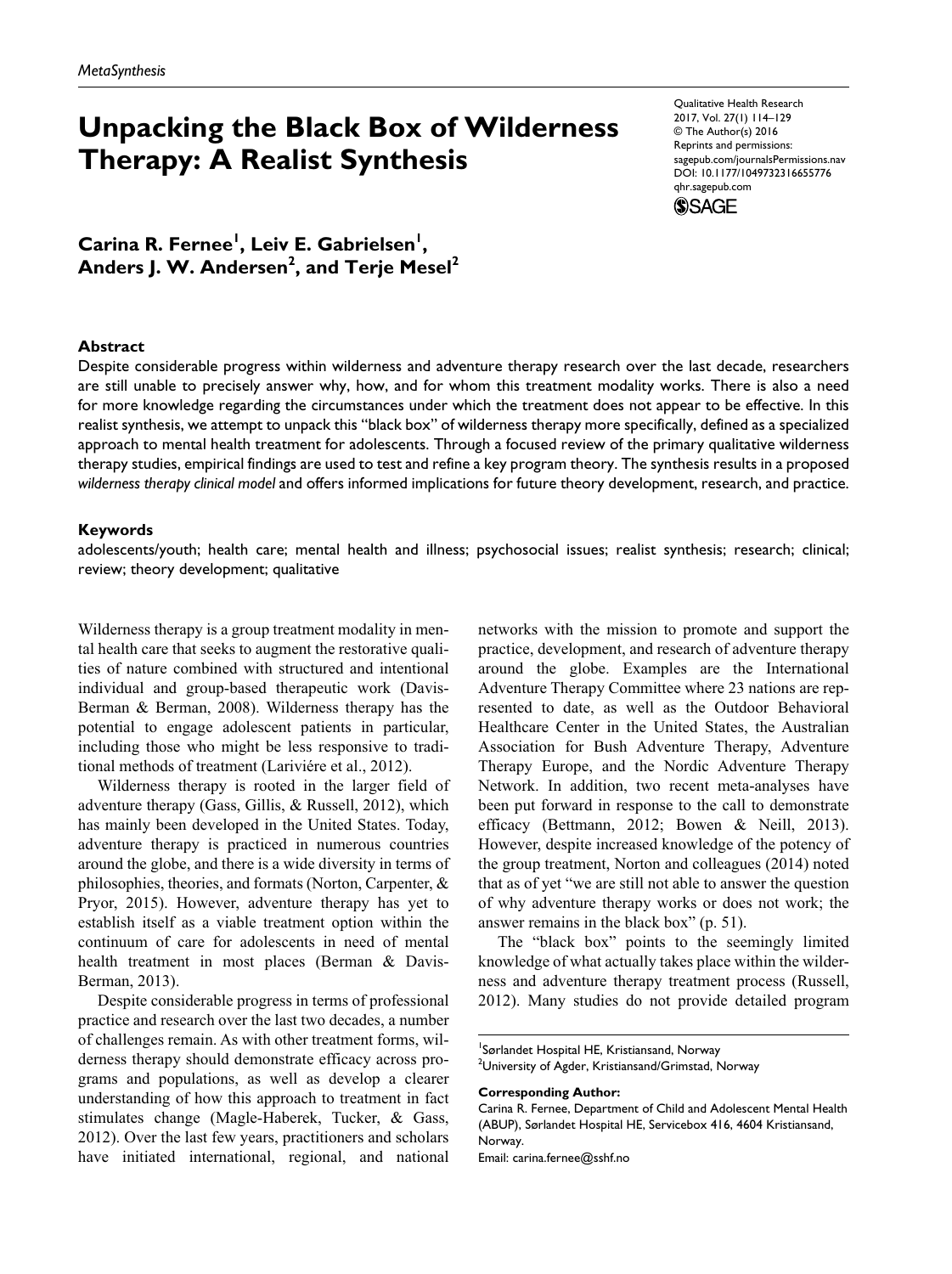# **Unpacking the Black Box of Wilderness Therapy: A Realist Synthesis**

Qualitative Health Research 2017, Vol. 27(1) 114–129 © The Author(s) 2016 Reprints and permissions: sagepub.com/journalsPermissions.nav DOI: 10.1177/1049732316655776 qhr.sagepub.com



**Carina R. Fernee1 , Leiv E. Gabrielsen1 ,**  Anders J. W. Andersen<sup>2</sup>, and Terje Mesel<sup>2</sup>

## **Abstract**

Despite considerable progress within wilderness and adventure therapy research over the last decade, researchers are still unable to precisely answer why, how, and for whom this treatment modality works. There is also a need for more knowledge regarding the circumstances under which the treatment does not appear to be effective. In this realist synthesis, we attempt to unpack this "black box" of wilderness therapy more specifically, defined as a specialized approach to mental health treatment for adolescents. Through a focused review of the primary qualitative wilderness therapy studies, empirical findings are used to test and refine a key program theory. The synthesis results in a proposed *wilderness therapy clinical model* and offers informed implications for future theory development, research, and practice.

## **Keywords**

adolescents/youth; health care; mental health and illness; psychosocial issues; realist synthesis; research; clinical; review; theory development; qualitative

Wilderness therapy is a group treatment modality in mental health care that seeks to augment the restorative qualities of nature combined with structured and intentional individual and group-based therapeutic work (Davis-Berman & Berman, 2008). Wilderness therapy has the potential to engage adolescent patients in particular, including those who might be less responsive to traditional methods of treatment (Lariviére et al., 2012).

Wilderness therapy is rooted in the larger field of adventure therapy (Gass, Gillis, & Russell, 2012), which has mainly been developed in the United States. Today, adventure therapy is practiced in numerous countries around the globe, and there is a wide diversity in terms of philosophies, theories, and formats (Norton, Carpenter, & Pryor, 2015). However, adventure therapy has yet to establish itself as a viable treatment option within the continuum of care for adolescents in need of mental health treatment in most places (Berman & Davis-Berman, 2013).

Despite considerable progress in terms of professional practice and research over the last two decades, a number of challenges remain. As with other treatment forms, wilderness therapy should demonstrate efficacy across programs and populations, as well as develop a clearer understanding of how this approach to treatment in fact stimulates change (Magle-Haberek, Tucker, & Gass, 2012). Over the last few years, practitioners and scholars have initiated international, regional, and national networks with the mission to promote and support the practice, development, and research of adventure therapy around the globe. Examples are the International Adventure Therapy Committee where 23 nations are represented to date, as well as the Outdoor Behavioral Healthcare Center in the United States, the Australian Association for Bush Adventure Therapy, Adventure Therapy Europe, and the Nordic Adventure Therapy Network. In addition, two recent meta-analyses have been put forward in response to the call to demonstrate efficacy (Bettmann, 2012; Bowen & Neill, 2013). However, despite increased knowledge of the potency of the group treatment, Norton and colleagues (2014) noted that as of yet "we are still not able to answer the question of why adventure therapy works or does not work; the answer remains in the black box" (p. 51).

The "black box" points to the seemingly limited knowledge of what actually takes place within the wilderness and adventure therapy treatment process (Russell, 2012). Many studies do not provide detailed program

**Corresponding Author:**

Carina R. Fernee, Department of Child and Adolescent Mental Health (ABUP), Sørlandet Hospital HE, Servicebox 416, 4604 Kristiansand, Norway.

Email: carina.fernee@sshf.no

<sup>1</sup> Sørlandet Hospital HE, Kristiansand, Norway  $^2$ University of Agder, Kristiansand/Grimstad, Norway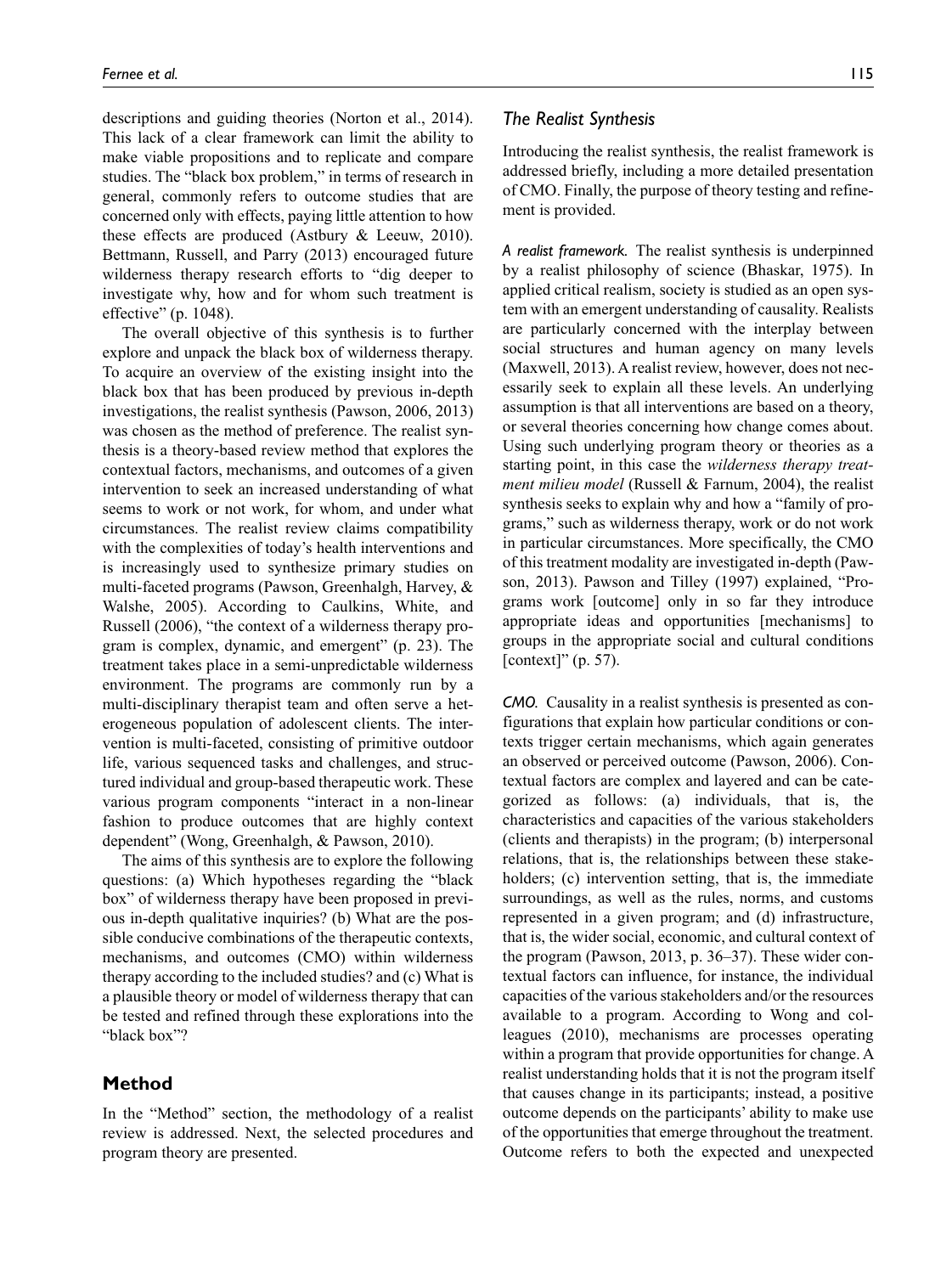descriptions and guiding theories (Norton et al., 2014). This lack of a clear framework can limit the ability to make viable propositions and to replicate and compare studies. The "black box problem," in terms of research in general, commonly refers to outcome studies that are concerned only with effects, paying little attention to how these effects are produced (Astbury & Leeuw, 2010). Bettmann, Russell, and Parry (2013) encouraged future wilderness therapy research efforts to "dig deeper to investigate why, how and for whom such treatment is effective" (p. 1048).

The overall objective of this synthesis is to further explore and unpack the black box of wilderness therapy. To acquire an overview of the existing insight into the black box that has been produced by previous in-depth investigations, the realist synthesis (Pawson, 2006, 2013) was chosen as the method of preference. The realist synthesis is a theory-based review method that explores the contextual factors, mechanisms, and outcomes of a given intervention to seek an increased understanding of what seems to work or not work, for whom, and under what circumstances. The realist review claims compatibility with the complexities of today's health interventions and is increasingly used to synthesize primary studies on multi-faceted programs (Pawson, Greenhalgh, Harvey, & Walshe, 2005). According to Caulkins, White, and Russell (2006), "the context of a wilderness therapy program is complex, dynamic, and emergent" (p. 23). The treatment takes place in a semi-unpredictable wilderness environment. The programs are commonly run by a multi-disciplinary therapist team and often serve a heterogeneous population of adolescent clients. The intervention is multi-faceted, consisting of primitive outdoor life, various sequenced tasks and challenges, and structured individual and group-based therapeutic work. These various program components "interact in a non-linear fashion to produce outcomes that are highly context dependent" (Wong, Greenhalgh, & Pawson, 2010).

The aims of this synthesis are to explore the following questions: (a) Which hypotheses regarding the "black box" of wilderness therapy have been proposed in previous in-depth qualitative inquiries? (b) What are the possible conducive combinations of the therapeutic contexts, mechanisms, and outcomes (CMO) within wilderness therapy according to the included studies? and (c) What is a plausible theory or model of wilderness therapy that can be tested and refined through these explorations into the "black box"?

## **Method**

In the "Method" section, the methodology of a realist review is addressed. Next, the selected procedures and program theory are presented.

## *The Realist Synthesis*

Introducing the realist synthesis, the realist framework is addressed briefly, including a more detailed presentation of CMO. Finally, the purpose of theory testing and refinement is provided.

*A realist framework.* The realist synthesis is underpinned by a realist philosophy of science (Bhaskar, 1975). In applied critical realism, society is studied as an open system with an emergent understanding of causality. Realists are particularly concerned with the interplay between social structures and human agency on many levels (Maxwell, 2013). A realist review, however, does not necessarily seek to explain all these levels. An underlying assumption is that all interventions are based on a theory, or several theories concerning how change comes about. Using such underlying program theory or theories as a starting point, in this case the *wilderness therapy treatment milieu model* (Russell & Farnum, 2004), the realist synthesis seeks to explain why and how a "family of programs," such as wilderness therapy, work or do not work in particular circumstances. More specifically, the CMO of this treatment modality are investigated in-depth (Pawson, 2013). Pawson and Tilley (1997) explained, "Programs work [outcome] only in so far they introduce appropriate ideas and opportunities [mechanisms] to groups in the appropriate social and cultural conditions [context]" (p. 57).

*CMO.* Causality in a realist synthesis is presented as configurations that explain how particular conditions or contexts trigger certain mechanisms, which again generates an observed or perceived outcome (Pawson, 2006). Contextual factors are complex and layered and can be categorized as follows: (a) individuals, that is, the characteristics and capacities of the various stakeholders (clients and therapists) in the program; (b) interpersonal relations, that is, the relationships between these stakeholders; (c) intervention setting, that is, the immediate surroundings, as well as the rules, norms, and customs represented in a given program; and (d) infrastructure, that is, the wider social, economic, and cultural context of the program (Pawson, 2013, p. 36–37). These wider contextual factors can influence, for instance, the individual capacities of the various stakeholders and/or the resources available to a program. According to Wong and colleagues (2010), mechanisms are processes operating within a program that provide opportunities for change. A realist understanding holds that it is not the program itself that causes change in its participants; instead, a positive outcome depends on the participants' ability to make use of the opportunities that emerge throughout the treatment. Outcome refers to both the expected and unexpected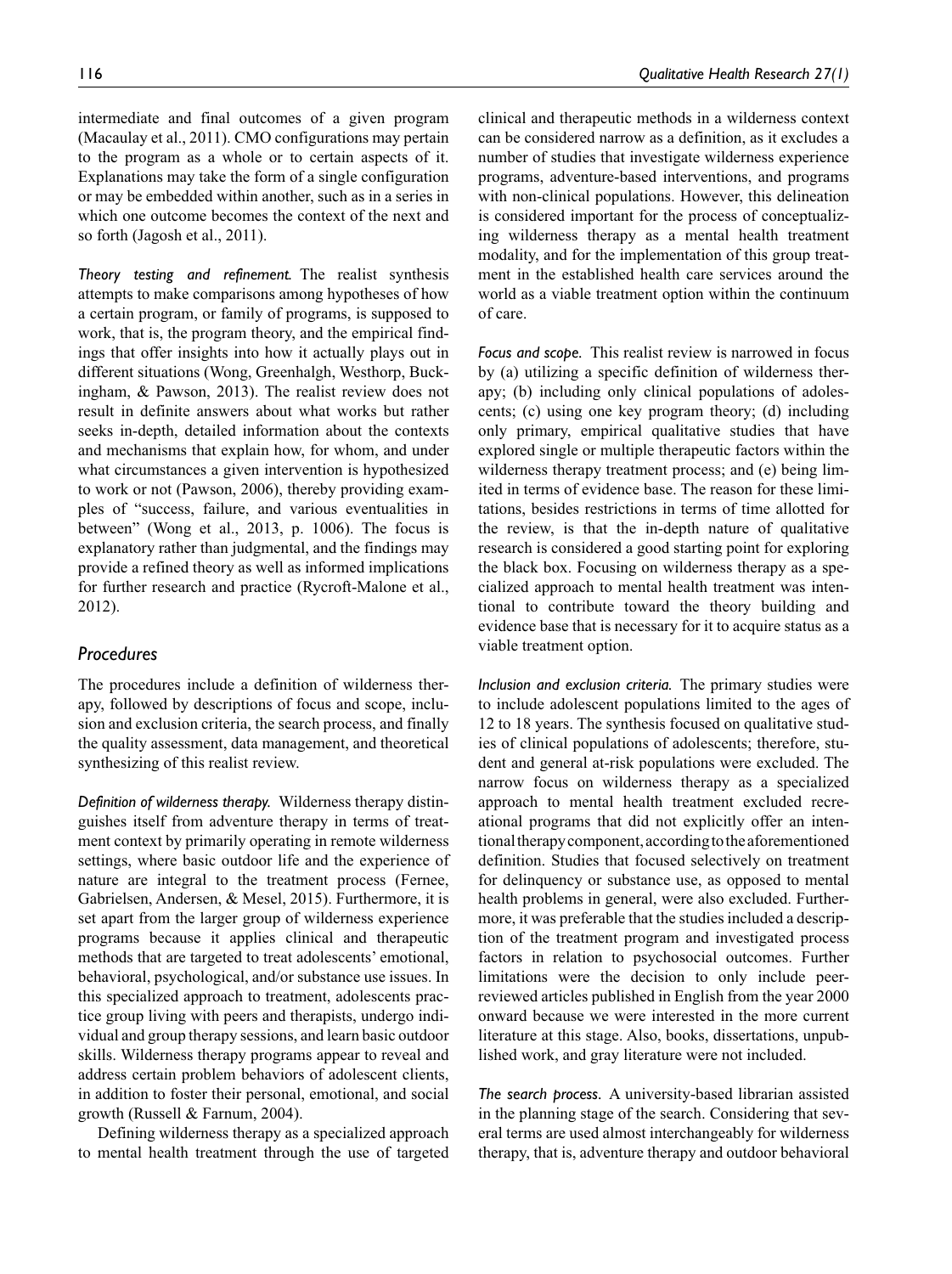intermediate and final outcomes of a given program (Macaulay et al., 2011). CMO configurations may pertain to the program as a whole or to certain aspects of it. Explanations may take the form of a single configuration or may be embedded within another, such as in a series in which one outcome becomes the context of the next and so forth (Jagosh et al., 2011).

*Theory testing and refinement.* The realist synthesis attempts to make comparisons among hypotheses of how a certain program, or family of programs, is supposed to work, that is, the program theory, and the empirical findings that offer insights into how it actually plays out in different situations (Wong, Greenhalgh, Westhorp, Buckingham, & Pawson, 2013). The realist review does not result in definite answers about what works but rather seeks in-depth, detailed information about the contexts and mechanisms that explain how, for whom, and under what circumstances a given intervention is hypothesized to work or not (Pawson, 2006), thereby providing examples of "success, failure, and various eventualities in between" (Wong et al., 2013, p. 1006). The focus is explanatory rather than judgmental, and the findings may provide a refined theory as well as informed implications for further research and practice (Rycroft-Malone et al., 2012).

## *Procedures*

The procedures include a definition of wilderness therapy, followed by descriptions of focus and scope, inclusion and exclusion criteria, the search process, and finally the quality assessment, data management, and theoretical synthesizing of this realist review.

*Definition of wilderness therapy.* Wilderness therapy distinguishes itself from adventure therapy in terms of treatment context by primarily operating in remote wilderness settings, where basic outdoor life and the experience of nature are integral to the treatment process (Fernee, Gabrielsen, Andersen, & Mesel, 2015). Furthermore, it is set apart from the larger group of wilderness experience programs because it applies clinical and therapeutic methods that are targeted to treat adolescents' emotional, behavioral, psychological, and/or substance use issues. In this specialized approach to treatment, adolescents practice group living with peers and therapists, undergo individual and group therapy sessions, and learn basic outdoor skills. Wilderness therapy programs appear to reveal and address certain problem behaviors of adolescent clients, in addition to foster their personal, emotional, and social growth (Russell & Farnum, 2004).

Defining wilderness therapy as a specialized approach to mental health treatment through the use of targeted clinical and therapeutic methods in a wilderness context can be considered narrow as a definition, as it excludes a number of studies that investigate wilderness experience programs, adventure-based interventions, and programs with non-clinical populations. However, this delineation is considered important for the process of conceptualizing wilderness therapy as a mental health treatment modality, and for the implementation of this group treatment in the established health care services around the world as a viable treatment option within the continuum of care.

*Focus and scope.* This realist review is narrowed in focus by (a) utilizing a specific definition of wilderness therapy; (b) including only clinical populations of adolescents; (c) using one key program theory; (d) including only primary, empirical qualitative studies that have explored single or multiple therapeutic factors within the wilderness therapy treatment process; and (e) being limited in terms of evidence base. The reason for these limitations, besides restrictions in terms of time allotted for the review, is that the in-depth nature of qualitative research is considered a good starting point for exploring the black box. Focusing on wilderness therapy as a specialized approach to mental health treatment was intentional to contribute toward the theory building and evidence base that is necessary for it to acquire status as a viable treatment option.

*Inclusion and exclusion criteria.* The primary studies were to include adolescent populations limited to the ages of 12 to 18 years. The synthesis focused on qualitative studies of clinical populations of adolescents; therefore, student and general at-risk populations were excluded. The narrow focus on wilderness therapy as a specialized approach to mental health treatment excluded recreational programs that did not explicitly offer an intentional therapy component, according to the aforementioned definition. Studies that focused selectively on treatment for delinquency or substance use, as opposed to mental health problems in general, were also excluded. Furthermore, it was preferable that the studies included a description of the treatment program and investigated process factors in relation to psychosocial outcomes. Further limitations were the decision to only include peerreviewed articles published in English from the year 2000 onward because we were interested in the more current literature at this stage. Also, books, dissertations, unpublished work, and gray literature were not included.

*The search process.* A university-based librarian assisted in the planning stage of the search. Considering that several terms are used almost interchangeably for wilderness therapy, that is, adventure therapy and outdoor behavioral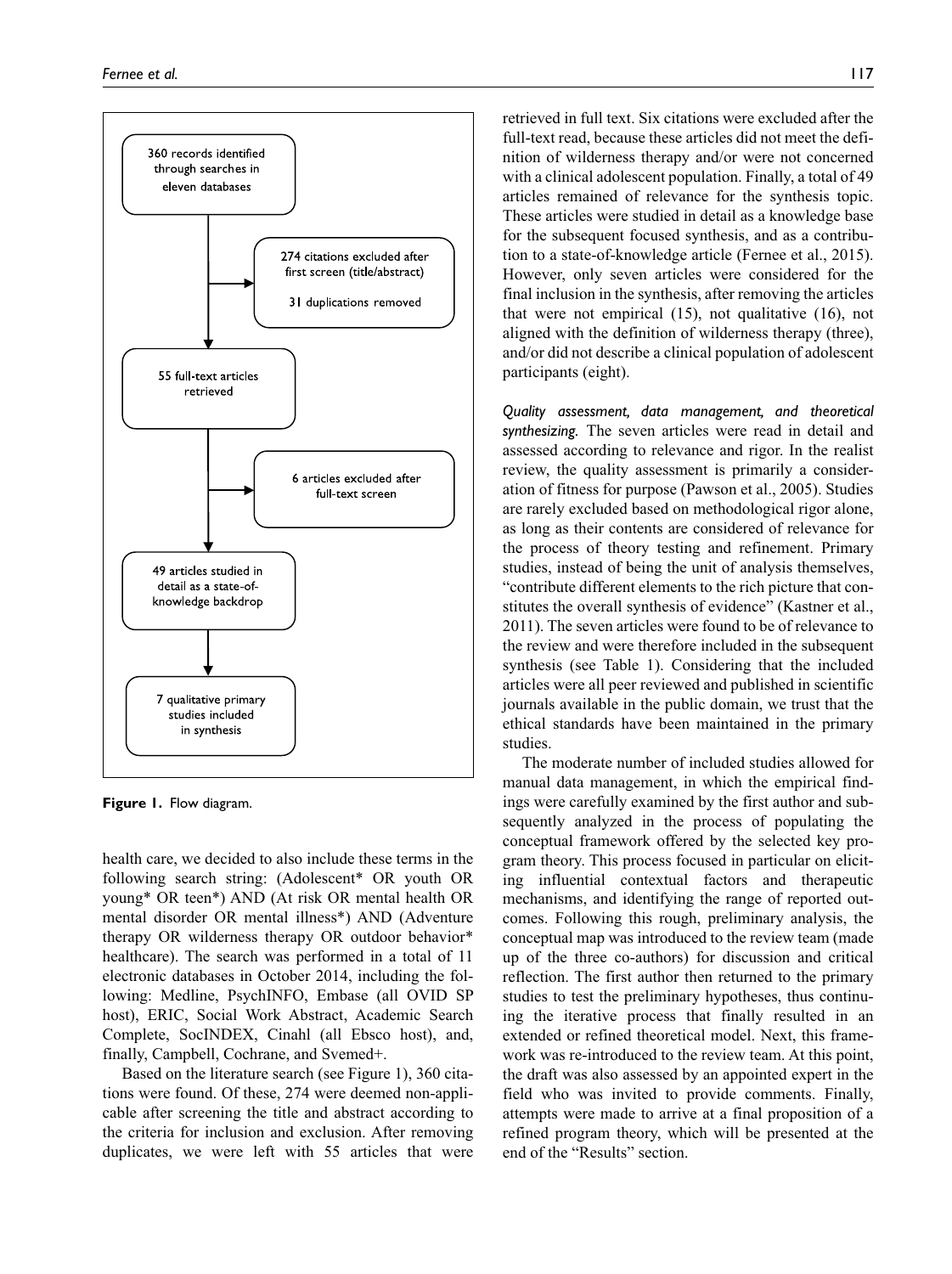

**Figure 1.** Flow diagram.

health care, we decided to also include these terms in the following search string: (Adolescent\* OR youth OR young\* OR teen\*) AND (At risk OR mental health OR mental disorder OR mental illness\*) AND (Adventure therapy OR wilderness therapy OR outdoor behavior\* healthcare). The search was performed in a total of 11 electronic databases in October 2014, including the following: Medline, PsychINFO, Embase (all OVID SP host), ERIC, Social Work Abstract, Academic Search Complete, SocINDEX, Cinahl (all Ebsco host), and, finally, Campbell, Cochrane, and Svemed+.

Based on the literature search (see Figure 1), 360 citations were found. Of these, 274 were deemed non-applicable after screening the title and abstract according to the criteria for inclusion and exclusion. After removing duplicates, we were left with 55 articles that were

retrieved in full text. Six citations were excluded after the full-text read, because these articles did not meet the definition of wilderness therapy and/or were not concerned with a clinical adolescent population. Finally, a total of 49 articles remained of relevance for the synthesis topic. These articles were studied in detail as a knowledge base for the subsequent focused synthesis, and as a contribution to a state-of-knowledge article (Fernee et al., 2015). However, only seven articles were considered for the final inclusion in the synthesis, after removing the articles that were not empirical (15), not qualitative (16), not aligned with the definition of wilderness therapy (three), and/or did not describe a clinical population of adolescent participants (eight).

*Quality assessment, data management, and theoretical synthesizing.* The seven articles were read in detail and assessed according to relevance and rigor. In the realist review, the quality assessment is primarily a consideration of fitness for purpose (Pawson et al., 2005). Studies are rarely excluded based on methodological rigor alone, as long as their contents are considered of relevance for the process of theory testing and refinement. Primary studies, instead of being the unit of analysis themselves, "contribute different elements to the rich picture that constitutes the overall synthesis of evidence" (Kastner et al., 2011). The seven articles were found to be of relevance to the review and were therefore included in the subsequent synthesis (see Table 1). Considering that the included articles were all peer reviewed and published in scientific journals available in the public domain, we trust that the ethical standards have been maintained in the primary studies.

The moderate number of included studies allowed for manual data management, in which the empirical findings were carefully examined by the first author and subsequently analyzed in the process of populating the conceptual framework offered by the selected key program theory. This process focused in particular on eliciting influential contextual factors and therapeutic mechanisms, and identifying the range of reported outcomes. Following this rough, preliminary analysis, the conceptual map was introduced to the review team (made up of the three co-authors) for discussion and critical reflection. The first author then returned to the primary studies to test the preliminary hypotheses, thus continuing the iterative process that finally resulted in an extended or refined theoretical model. Next, this framework was re-introduced to the review team. At this point, the draft was also assessed by an appointed expert in the field who was invited to provide comments. Finally, attempts were made to arrive at a final proposition of a refined program theory, which will be presented at the end of the "Results" section.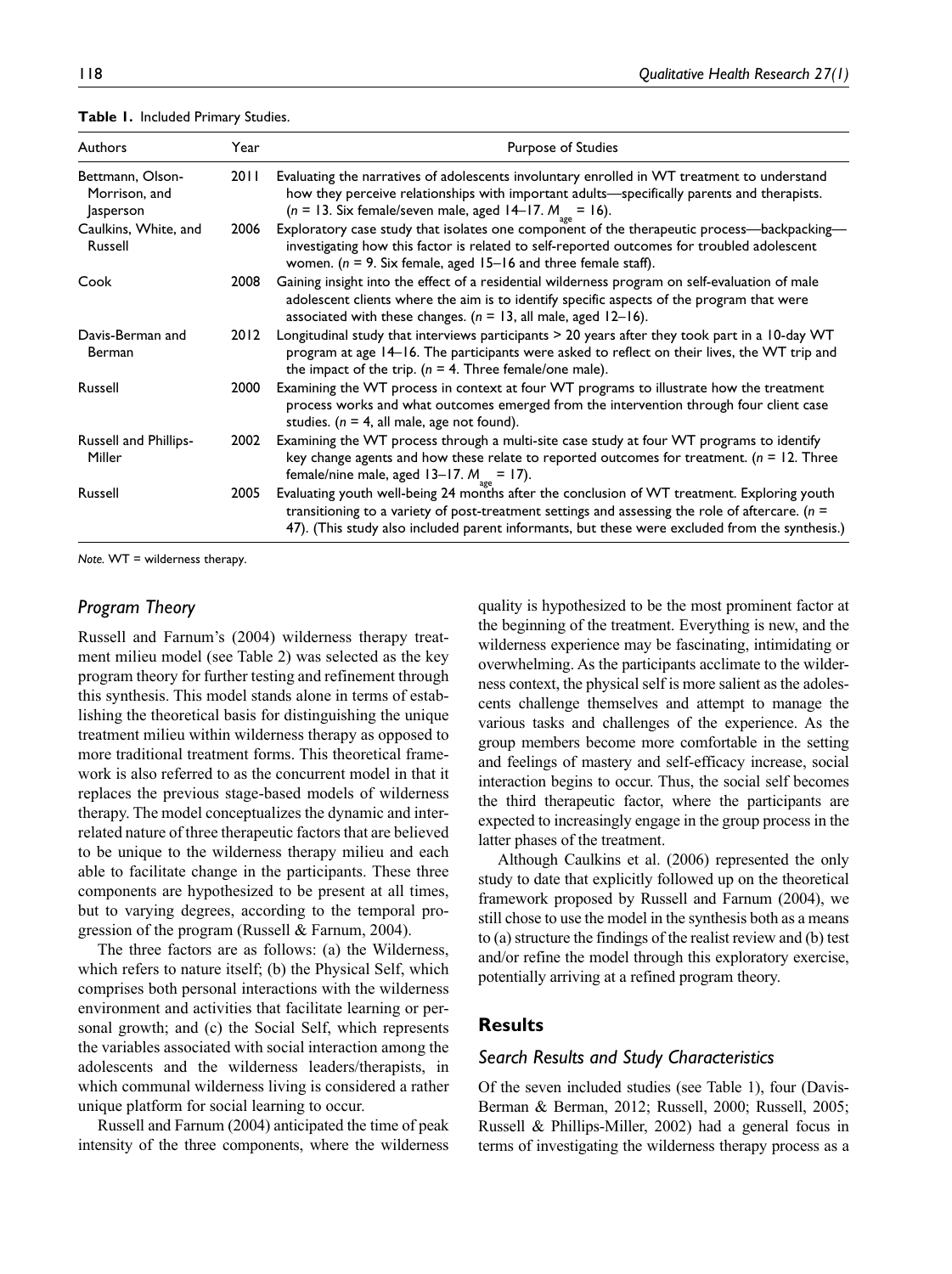| Year   | Purpose of Studies                                                                                                                                                                                                                                                                                  |  |  |
|--------|-----------------------------------------------------------------------------------------------------------------------------------------------------------------------------------------------------------------------------------------------------------------------------------------------------|--|--|
| 20 I I | Evaluating the narratives of adolescents involuntary enrolled in WT treatment to understand<br>how they perceive relationships with important adults-specifically parents and therapists.<br>( $n = 13$ . Six female/seven male, aged 14–17. $M_{\text{max}} = 16$ ).                               |  |  |
| 2006   | Exploratory case study that isolates one component of the therapeutic process-backpacking-<br>investigating how this factor is related to self-reported outcomes for troubled adolescent<br>women. ( $n = 9$ . Six female, aged 15-16 and three female staff).                                      |  |  |
| 2008   | Gaining insight into the effect of a residential wilderness program on self-evaluation of male<br>adolescent clients where the aim is to identify specific aspects of the program that were<br>associated with these changes. $(n = 13,$ all male, aged $12-16$ ).                                  |  |  |
| 2012   | Longitudinal study that interviews participants > 20 years after they took part in a 10-day WT<br>program at age 14-16. The participants were asked to reflect on their lives, the WT trip and<br>the impact of the trip. ( $n = 4$ . Three female/one male).                                       |  |  |
| 2000   | Examining the WT process in context at four WT programs to illustrate how the treatment<br>process works and what outcomes emerged from the intervention through four client case<br>studies. ( $n = 4$ , all male, age not found).                                                                 |  |  |
| 2002   | Examining the WT process through a multi-site case study at four WT programs to identify<br>key change agents and how these relate to reported outcomes for treatment. $(n = 12$ . Three<br>female/nine male, aged 13-17. $M_{\text{max}} = 17$ .                                                   |  |  |
| 2005   | Evaluating youth well-being 24 months after the conclusion of WT treatment. Exploring youth<br>transitioning to a variety of post-treatment settings and assessing the role of aftercare. ( $n =$<br>47). (This study also included parent informants, but these were excluded from the synthesis.) |  |  |
|        |                                                                                                                                                                                                                                                                                                     |  |  |

**Table 1.** Included Primary Studies.

*Note.* WT = wilderness therapy.

## *Program Theory*

Russell and Farnum's (2004) wilderness therapy treatment milieu model (see Table 2) was selected as the key program theory for further testing and refinement through this synthesis. This model stands alone in terms of establishing the theoretical basis for distinguishing the unique treatment milieu within wilderness therapy as opposed to more traditional treatment forms. This theoretical framework is also referred to as the concurrent model in that it replaces the previous stage-based models of wilderness therapy. The model conceptualizes the dynamic and interrelated nature of three therapeutic factors that are believed to be unique to the wilderness therapy milieu and each able to facilitate change in the participants. These three components are hypothesized to be present at all times, but to varying degrees, according to the temporal progression of the program (Russell & Farnum, 2004).

The three factors are as follows: (a) the Wilderness, which refers to nature itself; (b) the Physical Self, which comprises both personal interactions with the wilderness environment and activities that facilitate learning or personal growth; and (c) the Social Self, which represents the variables associated with social interaction among the adolescents and the wilderness leaders/therapists, in which communal wilderness living is considered a rather unique platform for social learning to occur.

Russell and Farnum (2004) anticipated the time of peak intensity of the three components, where the wilderness quality is hypothesized to be the most prominent factor at the beginning of the treatment. Everything is new, and the wilderness experience may be fascinating, intimidating or overwhelming. As the participants acclimate to the wilderness context, the physical self is more salient as the adolescents challenge themselves and attempt to manage the various tasks and challenges of the experience. As the group members become more comfortable in the setting and feelings of mastery and self-efficacy increase, social interaction begins to occur. Thus, the social self becomes the third therapeutic factor, where the participants are expected to increasingly engage in the group process in the latter phases of the treatment.

Although Caulkins et al. (2006) represented the only study to date that explicitly followed up on the theoretical framework proposed by Russell and Farnum (2004), we still chose to use the model in the synthesis both as a means to (a) structure the findings of the realist review and (b) test and/or refine the model through this exploratory exercise, potentially arriving at a refined program theory.

# **Results**

## *Search Results and Study Characteristics*

Of the seven included studies (see Table 1), four (Davis-Berman & Berman, 2012; Russell, 2000; Russell, 2005; Russell & Phillips-Miller, 2002) had a general focus in terms of investigating the wilderness therapy process as a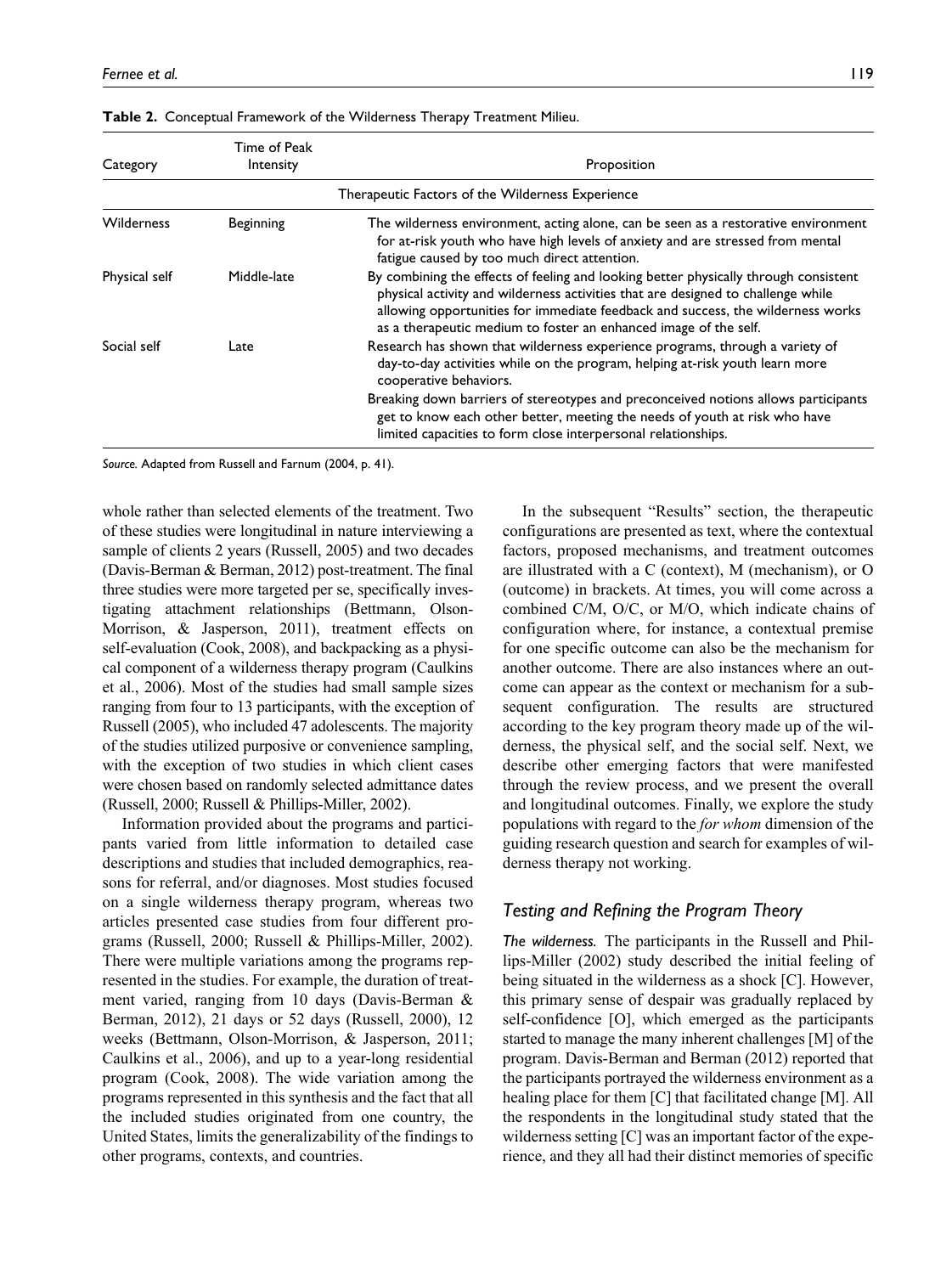| Category      | Time of Peak<br>Intensity | Proposition                                                                                                                                                                                                                                                                                                                     |
|---------------|---------------------------|---------------------------------------------------------------------------------------------------------------------------------------------------------------------------------------------------------------------------------------------------------------------------------------------------------------------------------|
|               |                           | Therapeutic Factors of the Wilderness Experience                                                                                                                                                                                                                                                                                |
| Wilderness    | Beginning                 | The wilderness environment, acting alone, can be seen as a restorative environment<br>for at-risk youth who have high levels of anxiety and are stressed from mental<br>fatigue caused by too much direct attention.                                                                                                            |
| Physical self | Middle-late               | By combining the effects of feeling and looking better physically through consistent<br>physical activity and wilderness activities that are designed to challenge while<br>allowing opportunities for immediate feedback and success, the wilderness works<br>as a therapeutic medium to foster an enhanced image of the self. |
| Social self   | Late                      | Research has shown that wilderness experience programs, through a variety of<br>day-to-day activities while on the program, helping at-risk youth learn more<br>cooperative behaviors.                                                                                                                                          |
|               |                           | Breaking down barriers of stereotypes and preconceived notions allows participants<br>get to know each other better, meeting the needs of youth at risk who have<br>limited capacities to form close interpersonal relationships.                                                                                               |

**Table 2.** Conceptual Framework of the Wilderness Therapy Treatment Milieu.

*Source.* Adapted from Russell and Farnum (2004, p. 41).

whole rather than selected elements of the treatment. Two of these studies were longitudinal in nature interviewing a sample of clients 2 years (Russell, 2005) and two decades (Davis-Berman & Berman, 2012) post-treatment. The final three studies were more targeted per se, specifically investigating attachment relationships (Bettmann, Olson-Morrison, & Jasperson, 2011), treatment effects on self-evaluation (Cook, 2008), and backpacking as a physical component of a wilderness therapy program (Caulkins et al., 2006). Most of the studies had small sample sizes ranging from four to 13 participants, with the exception of Russell (2005), who included 47 adolescents. The majority of the studies utilized purposive or convenience sampling, with the exception of two studies in which client cases were chosen based on randomly selected admittance dates (Russell, 2000; Russell & Phillips-Miller, 2002).

Information provided about the programs and participants varied from little information to detailed case descriptions and studies that included demographics, reasons for referral, and/or diagnoses. Most studies focused on a single wilderness therapy program, whereas two articles presented case studies from four different programs (Russell, 2000; Russell & Phillips-Miller, 2002). There were multiple variations among the programs represented in the studies. For example, the duration of treatment varied, ranging from 10 days (Davis-Berman & Berman, 2012), 21 days or 52 days (Russell, 2000), 12 weeks (Bettmann, Olson-Morrison, & Jasperson, 2011; Caulkins et al., 2006), and up to a year-long residential program (Cook, 2008). The wide variation among the programs represented in this synthesis and the fact that all the included studies originated from one country, the United States, limits the generalizability of the findings to other programs, contexts, and countries.

In the subsequent "Results" section, the therapeutic configurations are presented as text, where the contextual factors, proposed mechanisms, and treatment outcomes are illustrated with a C (context), M (mechanism), or O (outcome) in brackets. At times, you will come across a combined C/M, O/C, or M/O, which indicate chains of configuration where, for instance, a contextual premise for one specific outcome can also be the mechanism for another outcome. There are also instances where an outcome can appear as the context or mechanism for a subsequent configuration. The results are structured according to the key program theory made up of the wilderness, the physical self, and the social self. Next, we describe other emerging factors that were manifested through the review process, and we present the overall and longitudinal outcomes. Finally, we explore the study populations with regard to the *for whom* dimension of the guiding research question and search for examples of wilderness therapy not working.

## *Testing and Refining the Program Theory*

*The wilderness.* The participants in the Russell and Phillips-Miller (2002) study described the initial feeling of being situated in the wilderness as a shock [C]. However, this primary sense of despair was gradually replaced by self-confidence [O], which emerged as the participants started to manage the many inherent challenges [M] of the program. Davis-Berman and Berman (2012) reported that the participants portrayed the wilderness environment as a healing place for them [C] that facilitated change [M]. All the respondents in the longitudinal study stated that the wilderness setting [C] was an important factor of the experience, and they all had their distinct memories of specific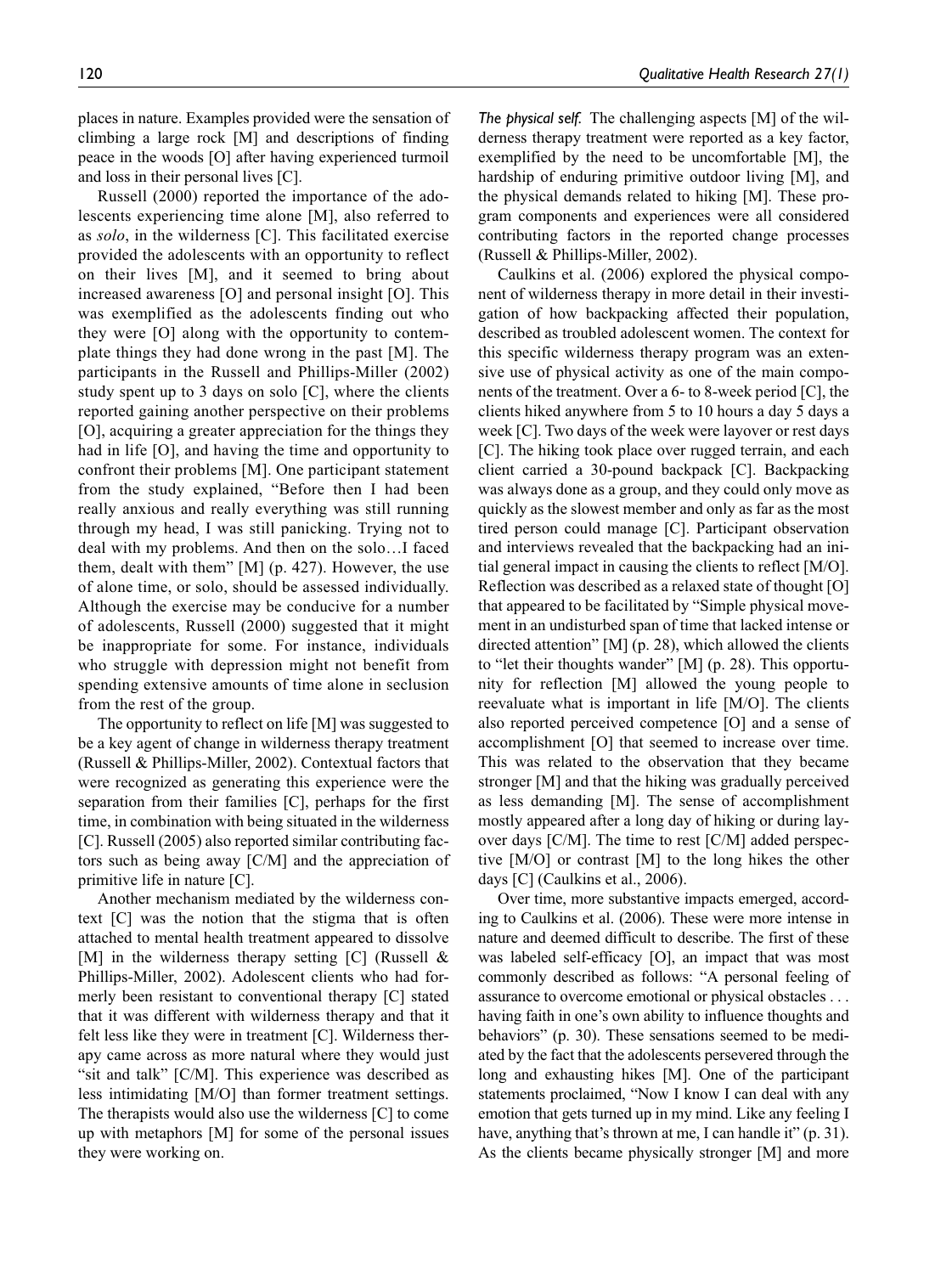places in nature. Examples provided were the sensation of climbing a large rock [M] and descriptions of finding peace in the woods [O] after having experienced turmoil and loss in their personal lives [C].

Russell (2000) reported the importance of the adolescents experiencing time alone [M], also referred to as *solo*, in the wilderness [C]. This facilitated exercise provided the adolescents with an opportunity to reflect on their lives [M], and it seemed to bring about increased awareness [O] and personal insight [O]. This was exemplified as the adolescents finding out who they were [O] along with the opportunity to contemplate things they had done wrong in the past [M]. The participants in the Russell and Phillips-Miller (2002) study spent up to 3 days on solo [C], where the clients reported gaining another perspective on their problems [O], acquiring a greater appreciation for the things they had in life [O], and having the time and opportunity to confront their problems [M]. One participant statement from the study explained, "Before then I had been really anxious and really everything was still running through my head, I was still panicking. Trying not to deal with my problems. And then on the solo…I faced them, dealt with them" [M] (p. 427). However, the use of alone time, or solo, should be assessed individually. Although the exercise may be conducive for a number of adolescents, Russell (2000) suggested that it might be inappropriate for some. For instance, individuals who struggle with depression might not benefit from spending extensive amounts of time alone in seclusion from the rest of the group.

The opportunity to reflect on life [M] was suggested to be a key agent of change in wilderness therapy treatment (Russell & Phillips-Miller, 2002). Contextual factors that were recognized as generating this experience were the separation from their families [C], perhaps for the first time, in combination with being situated in the wilderness [C]. Russell (2005) also reported similar contributing factors such as being away [C/M] and the appreciation of primitive life in nature [C].

Another mechanism mediated by the wilderness context [C] was the notion that the stigma that is often attached to mental health treatment appeared to dissolve [M] in the wilderness therapy setting [C] (Russell & Phillips-Miller, 2002). Adolescent clients who had formerly been resistant to conventional therapy [C] stated that it was different with wilderness therapy and that it felt less like they were in treatment [C]. Wilderness therapy came across as more natural where they would just "sit and talk" [C/M]. This experience was described as less intimidating [M/O] than former treatment settings. The therapists would also use the wilderness [C] to come up with metaphors [M] for some of the personal issues they were working on.

*The physical self.* The challenging aspects [M] of the wilderness therapy treatment were reported as a key factor, exemplified by the need to be uncomfortable [M], the hardship of enduring primitive outdoor living [M], and the physical demands related to hiking [M]. These program components and experiences were all considered contributing factors in the reported change processes (Russell & Phillips-Miller, 2002).

Caulkins et al. (2006) explored the physical component of wilderness therapy in more detail in their investigation of how backpacking affected their population, described as troubled adolescent women. The context for this specific wilderness therapy program was an extensive use of physical activity as one of the main components of the treatment. Over a 6- to 8-week period [C], the clients hiked anywhere from 5 to 10 hours a day 5 days a week [C]. Two days of the week were layover or rest days [C]. The hiking took place over rugged terrain, and each client carried a 30-pound backpack [C]. Backpacking was always done as a group, and they could only move as quickly as the slowest member and only as far as the most tired person could manage [C]. Participant observation and interviews revealed that the backpacking had an initial general impact in causing the clients to reflect [M/O]. Reflection was described as a relaxed state of thought [O] that appeared to be facilitated by "Simple physical movement in an undisturbed span of time that lacked intense or directed attention" [M] (p. 28), which allowed the clients to "let their thoughts wander" [M] (p. 28). This opportunity for reflection [M] allowed the young people to reevaluate what is important in life [M/O]. The clients also reported perceived competence [O] and a sense of accomplishment [O] that seemed to increase over time. This was related to the observation that they became stronger [M] and that the hiking was gradually perceived as less demanding [M]. The sense of accomplishment mostly appeared after a long day of hiking or during layover days [C/M]. The time to rest [C/M] added perspective [M/O] or contrast [M] to the long hikes the other days [C] (Caulkins et al., 2006).

Over time, more substantive impacts emerged, according to Caulkins et al. (2006). These were more intense in nature and deemed difficult to describe. The first of these was labeled self-efficacy [O], an impact that was most commonly described as follows: "A personal feeling of assurance to overcome emotional or physical obstacles . . . having faith in one's own ability to influence thoughts and behaviors" (p. 30). These sensations seemed to be mediated by the fact that the adolescents persevered through the long and exhausting hikes [M]. One of the participant statements proclaimed, "Now I know I can deal with any emotion that gets turned up in my mind. Like any feeling I have, anything that's thrown at me, I can handle it" (p. 31). As the clients became physically stronger [M] and more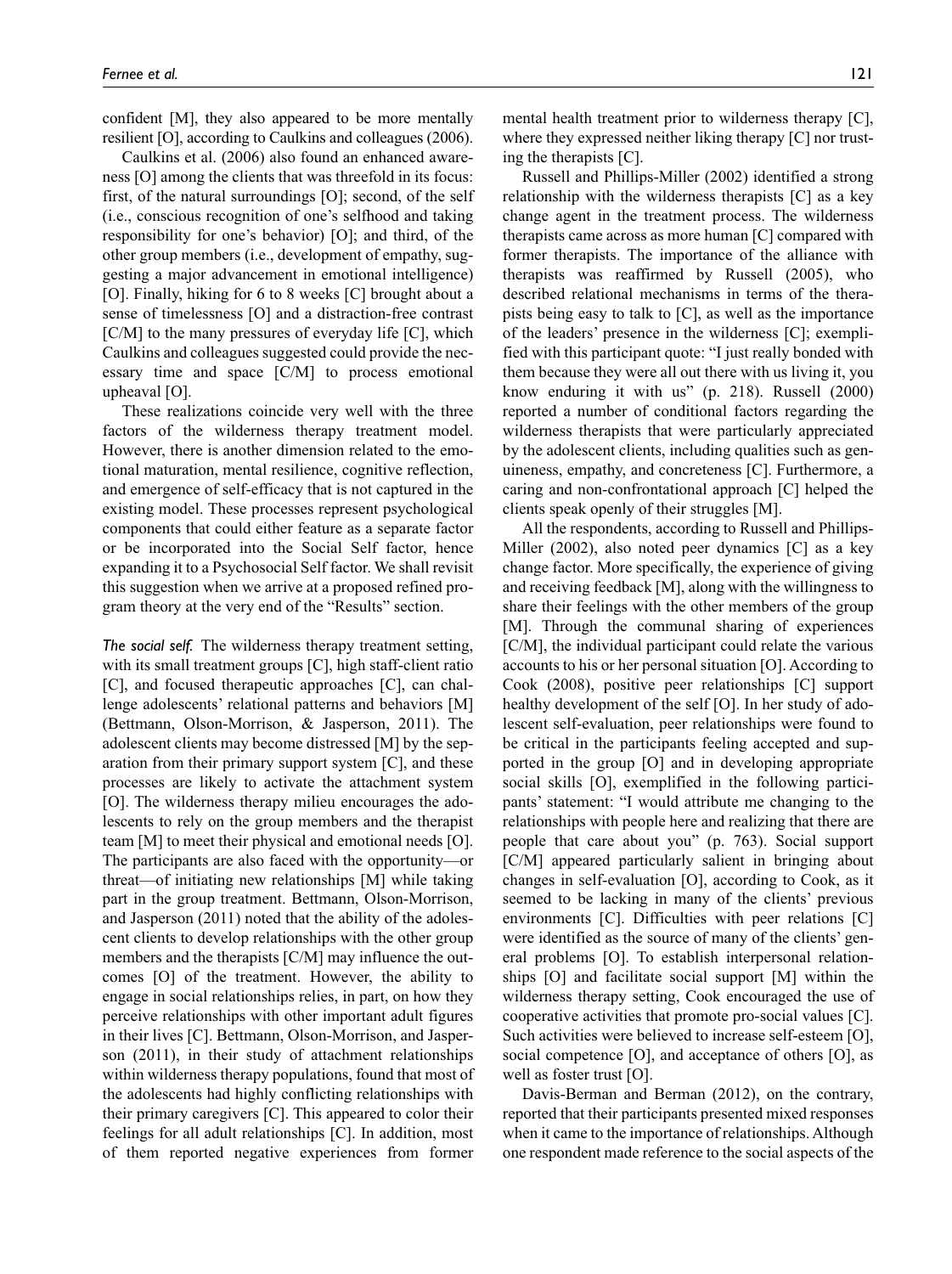confident [M], they also appeared to be more mentally resilient [O], according to Caulkins and colleagues (2006).

Caulkins et al. (2006) also found an enhanced awareness [O] among the clients that was threefold in its focus: first, of the natural surroundings [O]; second, of the self (i.e., conscious recognition of one's selfhood and taking responsibility for one's behavior) [O]; and third, of the other group members (i.e., development of empathy, suggesting a major advancement in emotional intelligence) [O]. Finally, hiking for 6 to 8 weeks [C] brought about a sense of timelessness [O] and a distraction-free contrast [C/M] to the many pressures of everyday life [C], which Caulkins and colleagues suggested could provide the necessary time and space [C/M] to process emotional upheaval [O].

These realizations coincide very well with the three factors of the wilderness therapy treatment model. However, there is another dimension related to the emotional maturation, mental resilience, cognitive reflection, and emergence of self-efficacy that is not captured in the existing model. These processes represent psychological components that could either feature as a separate factor or be incorporated into the Social Self factor, hence expanding it to a Psychosocial Self factor. We shall revisit this suggestion when we arrive at a proposed refined program theory at the very end of the "Results" section.

*The social self.* The wilderness therapy treatment setting, with its small treatment groups [C], high staff-client ratio [C], and focused therapeutic approaches [C], can challenge adolescents' relational patterns and behaviors [M] (Bettmann, Olson-Morrison, & Jasperson, 2011). The adolescent clients may become distressed [M] by the separation from their primary support system [C], and these processes are likely to activate the attachment system [O]. The wilderness therapy milieu encourages the adolescents to rely on the group members and the therapist team [M] to meet their physical and emotional needs [O]. The participants are also faced with the opportunity—or threat—of initiating new relationships [M] while taking part in the group treatment. Bettmann, Olson-Morrison, and Jasperson (2011) noted that the ability of the adolescent clients to develop relationships with the other group members and the therapists [C/M] may influence the outcomes [O] of the treatment. However, the ability to engage in social relationships relies, in part, on how they perceive relationships with other important adult figures in their lives [C]. Bettmann, Olson-Morrison, and Jasperson (2011), in their study of attachment relationships within wilderness therapy populations, found that most of the adolescents had highly conflicting relationships with their primary caregivers [C]. This appeared to color their feelings for all adult relationships [C]. In addition, most of them reported negative experiences from former

mental health treatment prior to wilderness therapy [C], where they expressed neither liking therapy [C] nor trusting the therapists [C].

Russell and Phillips-Miller (2002) identified a strong relationship with the wilderness therapists [C] as a key change agent in the treatment process. The wilderness therapists came across as more human [C] compared with former therapists. The importance of the alliance with therapists was reaffirmed by Russell (2005), who described relational mechanisms in terms of the therapists being easy to talk to [C], as well as the importance of the leaders' presence in the wilderness [C]; exemplified with this participant quote: "I just really bonded with them because they were all out there with us living it, you know enduring it with us" (p. 218). Russell (2000) reported a number of conditional factors regarding the wilderness therapists that were particularly appreciated by the adolescent clients, including qualities such as genuineness, empathy, and concreteness [C]. Furthermore, a caring and non-confrontational approach [C] helped the clients speak openly of their struggles [M].

All the respondents, according to Russell and Phillips-Miller (2002), also noted peer dynamics [C] as a key change factor. More specifically, the experience of giving and receiving feedback [M], along with the willingness to share their feelings with the other members of the group [M]. Through the communal sharing of experiences [C/M], the individual participant could relate the various accounts to his or her personal situation [O]. According to Cook (2008), positive peer relationships [C] support healthy development of the self [O]. In her study of adolescent self-evaluation, peer relationships were found to be critical in the participants feeling accepted and supported in the group [O] and in developing appropriate social skills [O], exemplified in the following participants' statement: "I would attribute me changing to the relationships with people here and realizing that there are people that care about you" (p. 763). Social support [C/M] appeared particularly salient in bringing about changes in self-evaluation [O], according to Cook, as it seemed to be lacking in many of the clients' previous environments [C]. Difficulties with peer relations [C] were identified as the source of many of the clients' general problems [O]. To establish interpersonal relationships [O] and facilitate social support [M] within the wilderness therapy setting, Cook encouraged the use of cooperative activities that promote pro-social values [C]. Such activities were believed to increase self-esteem [O], social competence [O], and acceptance of others [O], as well as foster trust [O].

Davis-Berman and Berman (2012), on the contrary, reported that their participants presented mixed responses when it came to the importance of relationships. Although one respondent made reference to the social aspects of the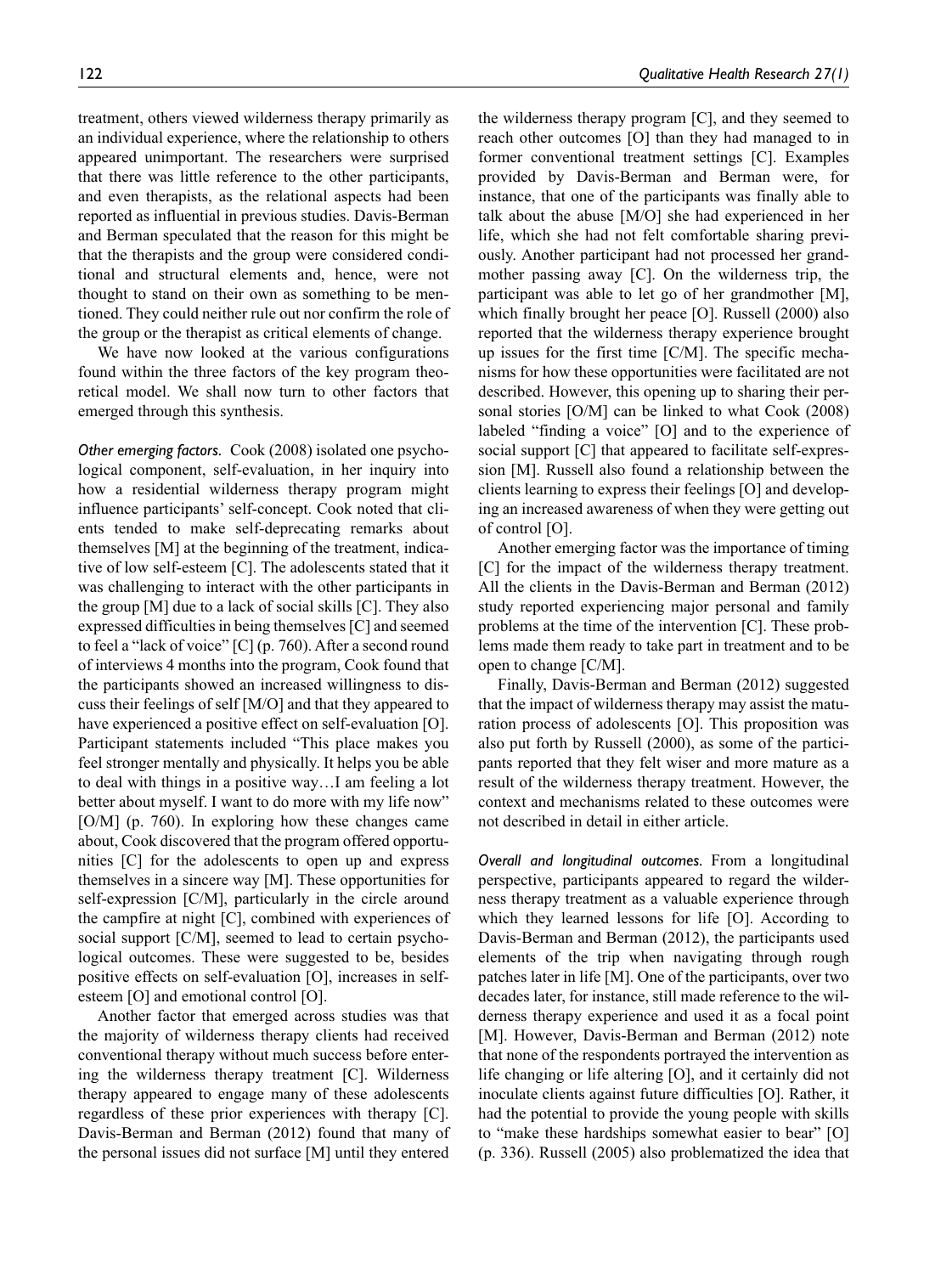treatment, others viewed wilderness therapy primarily as an individual experience, where the relationship to others appeared unimportant. The researchers were surprised that there was little reference to the other participants, and even therapists, as the relational aspects had been reported as influential in previous studies. Davis-Berman and Berman speculated that the reason for this might be that the therapists and the group were considered conditional and structural elements and, hence, were not thought to stand on their own as something to be mentioned. They could neither rule out nor confirm the role of the group or the therapist as critical elements of change.

We have now looked at the various configurations found within the three factors of the key program theoretical model. We shall now turn to other factors that emerged through this synthesis.

*Other emerging factors.* Cook (2008) isolated one psychological component, self-evaluation, in her inquiry into how a residential wilderness therapy program might influence participants' self-concept. Cook noted that clients tended to make self-deprecating remarks about themselves [M] at the beginning of the treatment, indicative of low self-esteem [C]. The adolescents stated that it was challenging to interact with the other participants in the group [M] due to a lack of social skills [C]. They also expressed difficulties in being themselves [C] and seemed to feel a "lack of voice" [C] (p. 760). After a second round of interviews 4 months into the program, Cook found that the participants showed an increased willingness to discuss their feelings of self [M/O] and that they appeared to have experienced a positive effect on self-evaluation [O]. Participant statements included "This place makes you feel stronger mentally and physically. It helps you be able to deal with things in a positive way…I am feeling a lot better about myself. I want to do more with my life now" [O/M] (p. 760). In exploring how these changes came about, Cook discovered that the program offered opportunities [C] for the adolescents to open up and express themselves in a sincere way [M]. These opportunities for self-expression [C/M], particularly in the circle around the campfire at night [C], combined with experiences of social support [C/M], seemed to lead to certain psychological outcomes. These were suggested to be, besides positive effects on self-evaluation [O], increases in selfesteem [O] and emotional control [O].

Another factor that emerged across studies was that the majority of wilderness therapy clients had received conventional therapy without much success before entering the wilderness therapy treatment [C]. Wilderness therapy appeared to engage many of these adolescents regardless of these prior experiences with therapy [C]. Davis-Berman and Berman (2012) found that many of the personal issues did not surface [M] until they entered the wilderness therapy program [C], and they seemed to reach other outcomes [O] than they had managed to in former conventional treatment settings [C]. Examples provided by Davis-Berman and Berman were, for instance, that one of the participants was finally able to talk about the abuse [M/O] she had experienced in her life, which she had not felt comfortable sharing previously. Another participant had not processed her grandmother passing away [C]. On the wilderness trip, the participant was able to let go of her grandmother [M], which finally brought her peace [O]. Russell (2000) also reported that the wilderness therapy experience brought up issues for the first time [C/M]. The specific mechanisms for how these opportunities were facilitated are not described. However, this opening up to sharing their personal stories [O/M] can be linked to what Cook (2008) labeled "finding a voice" [O] and to the experience of social support [C] that appeared to facilitate self-expression [M]. Russell also found a relationship between the clients learning to express their feelings [O] and developing an increased awareness of when they were getting out of control [O].

Another emerging factor was the importance of timing [C] for the impact of the wilderness therapy treatment. All the clients in the Davis-Berman and Berman (2012) study reported experiencing major personal and family problems at the time of the intervention [C]. These problems made them ready to take part in treatment and to be open to change [C/M].

Finally, Davis-Berman and Berman (2012) suggested that the impact of wilderness therapy may assist the maturation process of adolescents [O]. This proposition was also put forth by Russell (2000), as some of the participants reported that they felt wiser and more mature as a result of the wilderness therapy treatment. However, the context and mechanisms related to these outcomes were not described in detail in either article.

*Overall and longitudinal outcomes.* From a longitudinal perspective, participants appeared to regard the wilderness therapy treatment as a valuable experience through which they learned lessons for life [O]. According to Davis-Berman and Berman (2012), the participants used elements of the trip when navigating through rough patches later in life [M]. One of the participants, over two decades later, for instance, still made reference to the wilderness therapy experience and used it as a focal point [M]. However, Davis-Berman and Berman (2012) note that none of the respondents portrayed the intervention as life changing or life altering [O], and it certainly did not inoculate clients against future difficulties [O]. Rather, it had the potential to provide the young people with skills to "make these hardships somewhat easier to bear" [O] (p. 336). Russell (2005) also problematized the idea that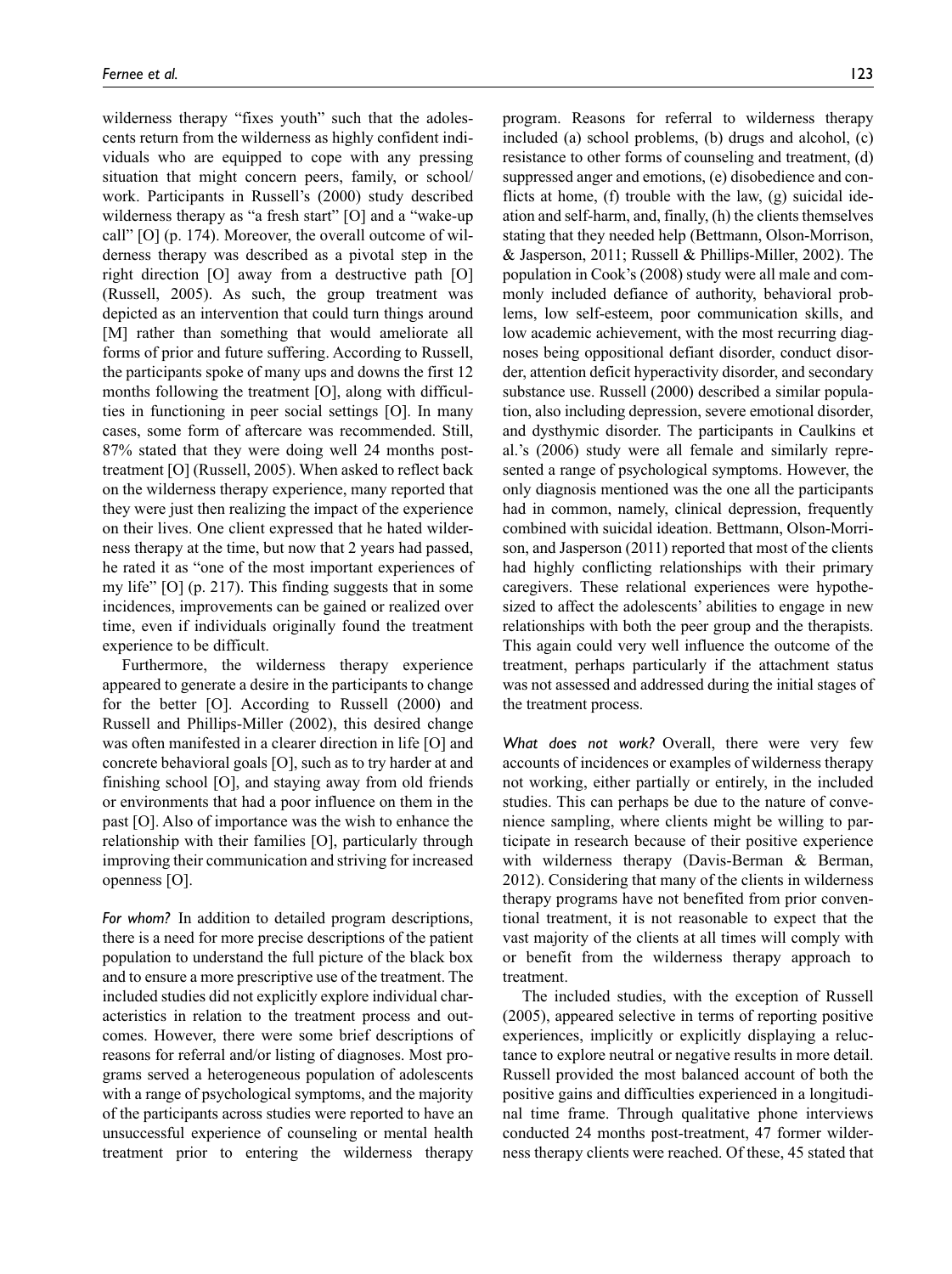wilderness therapy "fixes youth" such that the adolescents return from the wilderness as highly confident individuals who are equipped to cope with any pressing situation that might concern peers, family, or school/ work. Participants in Russell's (2000) study described wilderness therapy as "a fresh start" [O] and a "wake-up" call" [O] (p. 174). Moreover, the overall outcome of wilderness therapy was described as a pivotal step in the right direction [O] away from a destructive path [O] (Russell, 2005). As such, the group treatment was depicted as an intervention that could turn things around [M] rather than something that would ameliorate all forms of prior and future suffering. According to Russell, the participants spoke of many ups and downs the first 12 months following the treatment [O], along with difficulties in functioning in peer social settings [O]. In many cases, some form of aftercare was recommended. Still, 87% stated that they were doing well 24 months posttreatment [O] (Russell, 2005). When asked to reflect back on the wilderness therapy experience, many reported that they were just then realizing the impact of the experience on their lives. One client expressed that he hated wilderness therapy at the time, but now that 2 years had passed, he rated it as "one of the most important experiences of my life" [O] (p. 217). This finding suggests that in some incidences, improvements can be gained or realized over time, even if individuals originally found the treatment experience to be difficult.

Furthermore, the wilderness therapy experience appeared to generate a desire in the participants to change for the better [O]. According to Russell (2000) and Russell and Phillips-Miller (2002), this desired change was often manifested in a clearer direction in life [O] and concrete behavioral goals [O], such as to try harder at and finishing school [O], and staying away from old friends or environments that had a poor influence on them in the past [O]. Also of importance was the wish to enhance the relationship with their families [O], particularly through improving their communication and striving for increased openness [O].

*For whom?* In addition to detailed program descriptions, there is a need for more precise descriptions of the patient population to understand the full picture of the black box and to ensure a more prescriptive use of the treatment. The included studies did not explicitly explore individual characteristics in relation to the treatment process and outcomes. However, there were some brief descriptions of reasons for referral and/or listing of diagnoses. Most programs served a heterogeneous population of adolescents with a range of psychological symptoms, and the majority of the participants across studies were reported to have an unsuccessful experience of counseling or mental health treatment prior to entering the wilderness therapy

program. Reasons for referral to wilderness therapy included (a) school problems, (b) drugs and alcohol, (c) resistance to other forms of counseling and treatment, (d) suppressed anger and emotions, (e) disobedience and conflicts at home, (f) trouble with the law, (g) suicidal ideation and self-harm, and, finally, (h) the clients themselves stating that they needed help (Bettmann, Olson-Morrison, & Jasperson, 2011; Russell & Phillips-Miller, 2002). The population in Cook's (2008) study were all male and commonly included defiance of authority, behavioral problems, low self-esteem, poor communication skills, and low academic achievement, with the most recurring diagnoses being oppositional defiant disorder, conduct disorder, attention deficit hyperactivity disorder, and secondary substance use. Russell (2000) described a similar population, also including depression, severe emotional disorder, and dysthymic disorder. The participants in Caulkins et al.'s (2006) study were all female and similarly represented a range of psychological symptoms. However, the only diagnosis mentioned was the one all the participants had in common, namely, clinical depression, frequently combined with suicidal ideation. Bettmann, Olson-Morrison, and Jasperson (2011) reported that most of the clients had highly conflicting relationships with their primary caregivers. These relational experiences were hypothesized to affect the adolescents' abilities to engage in new relationships with both the peer group and the therapists. This again could very well influence the outcome of the treatment, perhaps particularly if the attachment status was not assessed and addressed during the initial stages of the treatment process.

*What does not work?* Overall, there were very few accounts of incidences or examples of wilderness therapy not working, either partially or entirely, in the included studies. This can perhaps be due to the nature of convenience sampling, where clients might be willing to participate in research because of their positive experience with wilderness therapy (Davis-Berman & Berman, 2012). Considering that many of the clients in wilderness therapy programs have not benefited from prior conventional treatment, it is not reasonable to expect that the vast majority of the clients at all times will comply with or benefit from the wilderness therapy approach to treatment.

The included studies, with the exception of Russell (2005), appeared selective in terms of reporting positive experiences, implicitly or explicitly displaying a reluctance to explore neutral or negative results in more detail. Russell provided the most balanced account of both the positive gains and difficulties experienced in a longitudinal time frame. Through qualitative phone interviews conducted 24 months post-treatment, 47 former wilderness therapy clients were reached. Of these, 45 stated that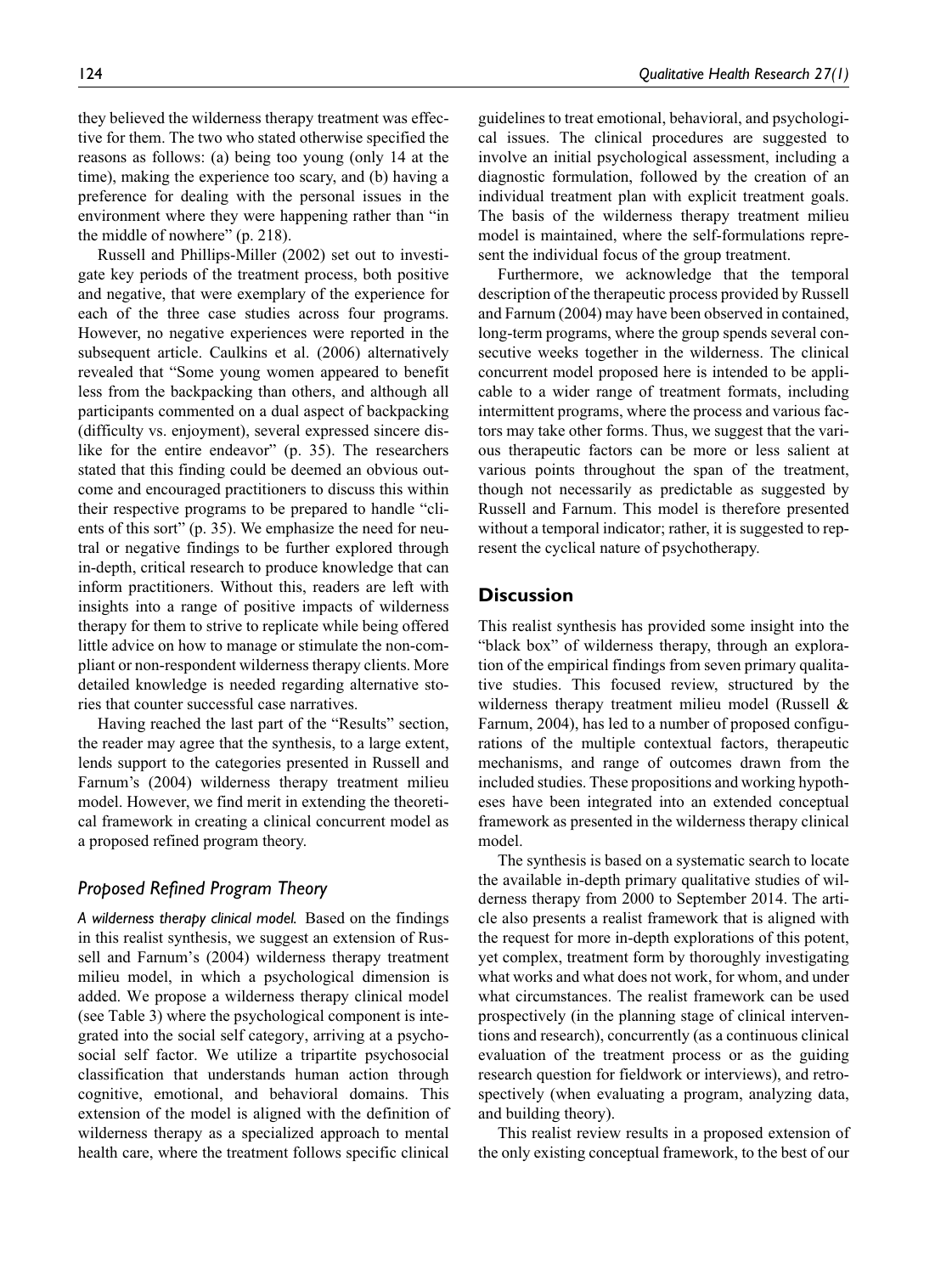they believed the wilderness therapy treatment was effective for them. The two who stated otherwise specified the reasons as follows: (a) being too young (only 14 at the time), making the experience too scary, and (b) having a preference for dealing with the personal issues in the environment where they were happening rather than "in the middle of nowhere" (p. 218).

Russell and Phillips-Miller (2002) set out to investigate key periods of the treatment process, both positive and negative, that were exemplary of the experience for each of the three case studies across four programs. However, no negative experiences were reported in the subsequent article. Caulkins et al. (2006) alternatively revealed that "Some young women appeared to benefit less from the backpacking than others, and although all participants commented on a dual aspect of backpacking (difficulty vs. enjoyment), several expressed sincere dislike for the entire endeavor" (p. 35). The researchers stated that this finding could be deemed an obvious outcome and encouraged practitioners to discuss this within their respective programs to be prepared to handle "clients of this sort" (p. 35). We emphasize the need for neutral or negative findings to be further explored through in-depth, critical research to produce knowledge that can inform practitioners. Without this, readers are left with insights into a range of positive impacts of wilderness therapy for them to strive to replicate while being offered little advice on how to manage or stimulate the non-compliant or non-respondent wilderness therapy clients. More detailed knowledge is needed regarding alternative stories that counter successful case narratives.

Having reached the last part of the "Results" section, the reader may agree that the synthesis, to a large extent, lends support to the categories presented in Russell and Farnum's (2004) wilderness therapy treatment milieu model. However, we find merit in extending the theoretical framework in creating a clinical concurrent model as a proposed refined program theory.

## *Proposed Refined Program Theory*

*A wilderness therapy clinical model.* Based on the findings in this realist synthesis, we suggest an extension of Russell and Farnum's (2004) wilderness therapy treatment milieu model, in which a psychological dimension is added. We propose a wilderness therapy clinical model (see Table 3) where the psychological component is integrated into the social self category, arriving at a psychosocial self factor. We utilize a tripartite psychosocial classification that understands human action through cognitive, emotional, and behavioral domains. This extension of the model is aligned with the definition of wilderness therapy as a specialized approach to mental health care, where the treatment follows specific clinical guidelines to treat emotional, behavioral, and psychological issues. The clinical procedures are suggested to involve an initial psychological assessment, including a diagnostic formulation, followed by the creation of an individual treatment plan with explicit treatment goals. The basis of the wilderness therapy treatment milieu model is maintained, where the self-formulations represent the individual focus of the group treatment.

Furthermore, we acknowledge that the temporal description of the therapeutic process provided by Russell and Farnum (2004) may have been observed in contained, long-term programs, where the group spends several consecutive weeks together in the wilderness. The clinical concurrent model proposed here is intended to be applicable to a wider range of treatment formats, including intermittent programs, where the process and various factors may take other forms. Thus, we suggest that the various therapeutic factors can be more or less salient at various points throughout the span of the treatment, though not necessarily as predictable as suggested by Russell and Farnum. This model is therefore presented without a temporal indicator; rather, it is suggested to represent the cyclical nature of psychotherapy.

# **Discussion**

This realist synthesis has provided some insight into the "black box" of wilderness therapy, through an exploration of the empirical findings from seven primary qualitative studies. This focused review, structured by the wilderness therapy treatment milieu model (Russell & Farnum, 2004), has led to a number of proposed configurations of the multiple contextual factors, therapeutic mechanisms, and range of outcomes drawn from the included studies. These propositions and working hypotheses have been integrated into an extended conceptual framework as presented in the wilderness therapy clinical model.

The synthesis is based on a systematic search to locate the available in-depth primary qualitative studies of wilderness therapy from 2000 to September 2014. The article also presents a realist framework that is aligned with the request for more in-depth explorations of this potent, yet complex, treatment form by thoroughly investigating what works and what does not work, for whom, and under what circumstances. The realist framework can be used prospectively (in the planning stage of clinical interventions and research), concurrently (as a continuous clinical evaluation of the treatment process or as the guiding research question for fieldwork or interviews), and retrospectively (when evaluating a program, analyzing data, and building theory).

This realist review results in a proposed extension of the only existing conceptual framework, to the best of our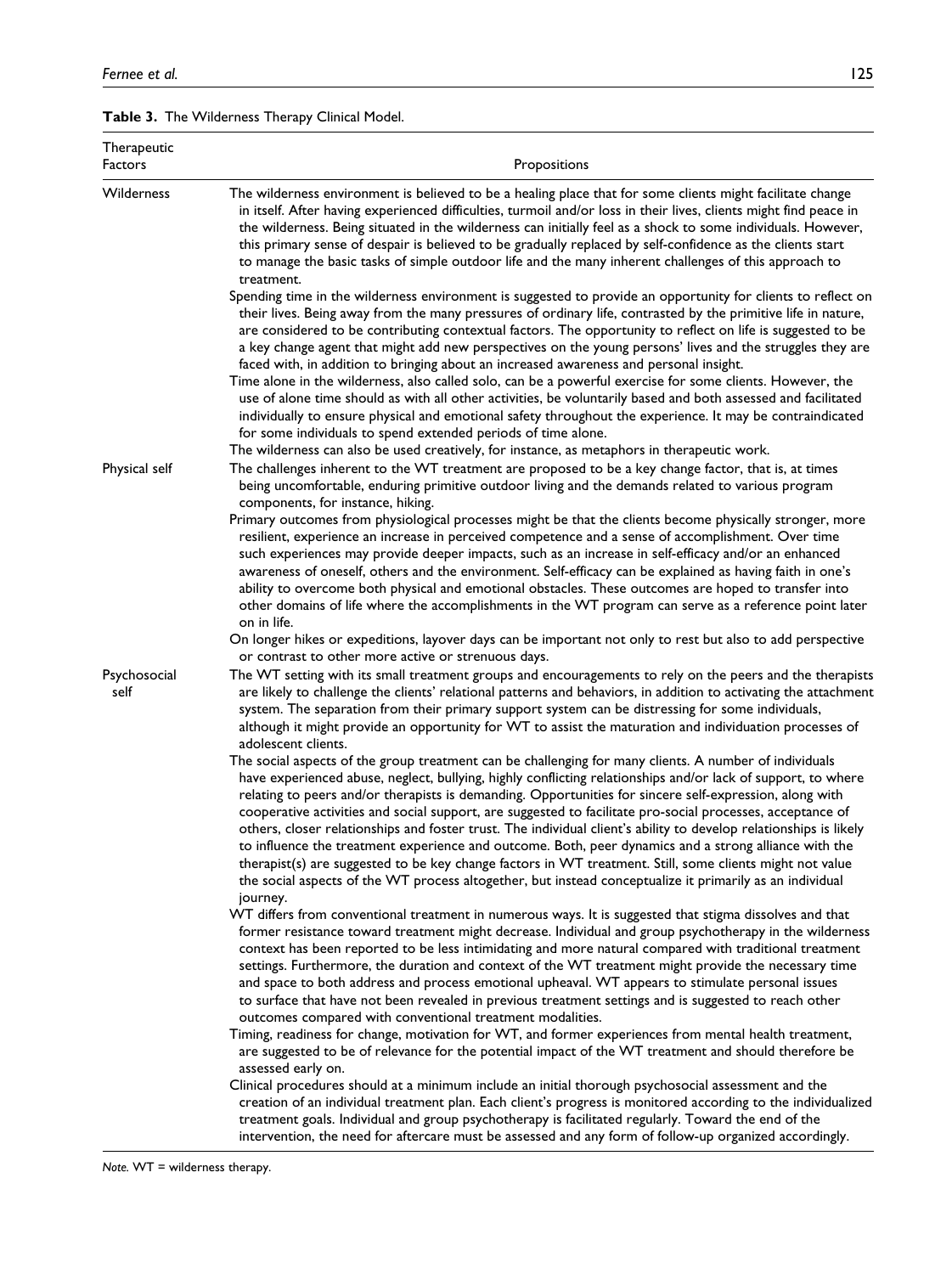|  | Table 3. The Wilderness Therapy Clinical Model. |  |  |  |
|--|-------------------------------------------------|--|--|--|
|--|-------------------------------------------------|--|--|--|

| Therapeutic<br>Factors | Propositions                                                                                                                                                                                                                                                                                                                                                                                                                                                                                                                                                                                                                                                                                                                                                                                                                                                                                                                                                                                                                                                   |
|------------------------|----------------------------------------------------------------------------------------------------------------------------------------------------------------------------------------------------------------------------------------------------------------------------------------------------------------------------------------------------------------------------------------------------------------------------------------------------------------------------------------------------------------------------------------------------------------------------------------------------------------------------------------------------------------------------------------------------------------------------------------------------------------------------------------------------------------------------------------------------------------------------------------------------------------------------------------------------------------------------------------------------------------------------------------------------------------|
| Wilderness             | The wilderness environment is believed to be a healing place that for some clients might facilitate change<br>in itself. After having experienced difficulties, turmoil and/or loss in their lives, clients might find peace in<br>the wilderness. Being situated in the wilderness can initially feel as a shock to some individuals. However,<br>this primary sense of despair is believed to be gradually replaced by self-confidence as the clients start<br>to manage the basic tasks of simple outdoor life and the many inherent challenges of this approach to<br>treatment.                                                                                                                                                                                                                                                                                                                                                                                                                                                                           |
|                        | Spending time in the wilderness environment is suggested to provide an opportunity for clients to reflect on<br>their lives. Being away from the many pressures of ordinary life, contrasted by the primitive life in nature,<br>are considered to be contributing contextual factors. The opportunity to reflect on life is suggested to be<br>a key change agent that might add new perspectives on the young persons' lives and the struggles they are<br>faced with, in addition to bringing about an increased awareness and personal insight.<br>Time alone in the wilderness, also called solo, can be a powerful exercise for some clients. However, the<br>use of alone time should as with all other activities, be voluntarily based and both assessed and facilitated<br>individually to ensure physical and emotional safety throughout the experience. It may be contraindicated<br>for some individuals to spend extended periods of time alone.<br>The wilderness can also be used creatively, for instance, as metaphors in therapeutic work. |
| Physical self          | The challenges inherent to the WT treatment are proposed to be a key change factor, that is, at times<br>being uncomfortable, enduring primitive outdoor living and the demands related to various program<br>components, for instance, hiking.                                                                                                                                                                                                                                                                                                                                                                                                                                                                                                                                                                                                                                                                                                                                                                                                                |
|                        | Primary outcomes from physiological processes might be that the clients become physically stronger, more<br>resilient, experience an increase in perceived competence and a sense of accomplishment. Over time<br>such experiences may provide deeper impacts, such as an increase in self-efficacy and/or an enhanced<br>awareness of oneself, others and the environment. Self-efficacy can be explained as having faith in one's<br>ability to overcome both physical and emotional obstacles. These outcomes are hoped to transfer into<br>other domains of life where the accomplishments in the WT program can serve as a reference point later<br>on in life.                                                                                                                                                                                                                                                                                                                                                                                           |
|                        | On longer hikes or expeditions, layover days can be important not only to rest but also to add perspective                                                                                                                                                                                                                                                                                                                                                                                                                                                                                                                                                                                                                                                                                                                                                                                                                                                                                                                                                     |
| Psychosocial<br>self   | or contrast to other more active or strenuous days.<br>The WT setting with its small treatment groups and encouragements to rely on the peers and the therapists<br>are likely to challenge the clients' relational patterns and behaviors, in addition to activating the attachment<br>system. The separation from their primary support system can be distressing for some individuals,<br>although it might provide an opportunity for WT to assist the maturation and individuation processes of<br>adolescent clients.                                                                                                                                                                                                                                                                                                                                                                                                                                                                                                                                    |
|                        | The social aspects of the group treatment can be challenging for many clients. A number of individuals<br>have experienced abuse, neglect, bullying, highly conflicting relationships and/or lack of support, to where<br>relating to peers and/or therapists is demanding. Opportunities for sincere self-expression, along with<br>cooperative activities and social support, are suggested to facilitate pro-social processes, acceptance of<br>others, closer relationships and foster trust. The individual client's ability to develop relationships is likely<br>to influence the treatment experience and outcome. Both, peer dynamics and a strong alliance with the<br>therapist(s) are suggested to be key change factors in WT treatment. Still, some clients might not value<br>the social aspects of the WT process altogether, but instead conceptualize it primarily as an individual                                                                                                                                                          |
|                        | journey.<br>WT differs from conventional treatment in numerous ways. It is suggested that stigma dissolves and that<br>former resistance toward treatment might decrease. Individual and group psychotherapy in the wilderness<br>context has been reported to be less intimidating and more natural compared with traditional treatment<br>settings. Furthermore, the duration and context of the WT treatment might provide the necessary time<br>and space to both address and process emotional upheaval. WT appears to stimulate personal issues<br>to surface that have not been revealed in previous treatment settings and is suggested to reach other<br>outcomes compared with conventional treatment modalities.                                                                                                                                                                                                                                                                                                                                    |
|                        | Timing, readiness for change, motivation for WT, and former experiences from mental health treatment,<br>are suggested to be of relevance for the potential impact of the WT treatment and should therefore be<br>assessed early on.<br>Clinical procedures should at a minimum include an initial thorough psychosocial assessment and the<br>creation of an individual treatment plan. Each client's progress is monitored according to the individualized<br>treatment goals. Individual and group psychotherapy is facilitated regularly. Toward the end of the<br>intervention, the need for aftercare must be assessed and any form of follow-up organized accordingly.                                                                                                                                                                                                                                                                                                                                                                                  |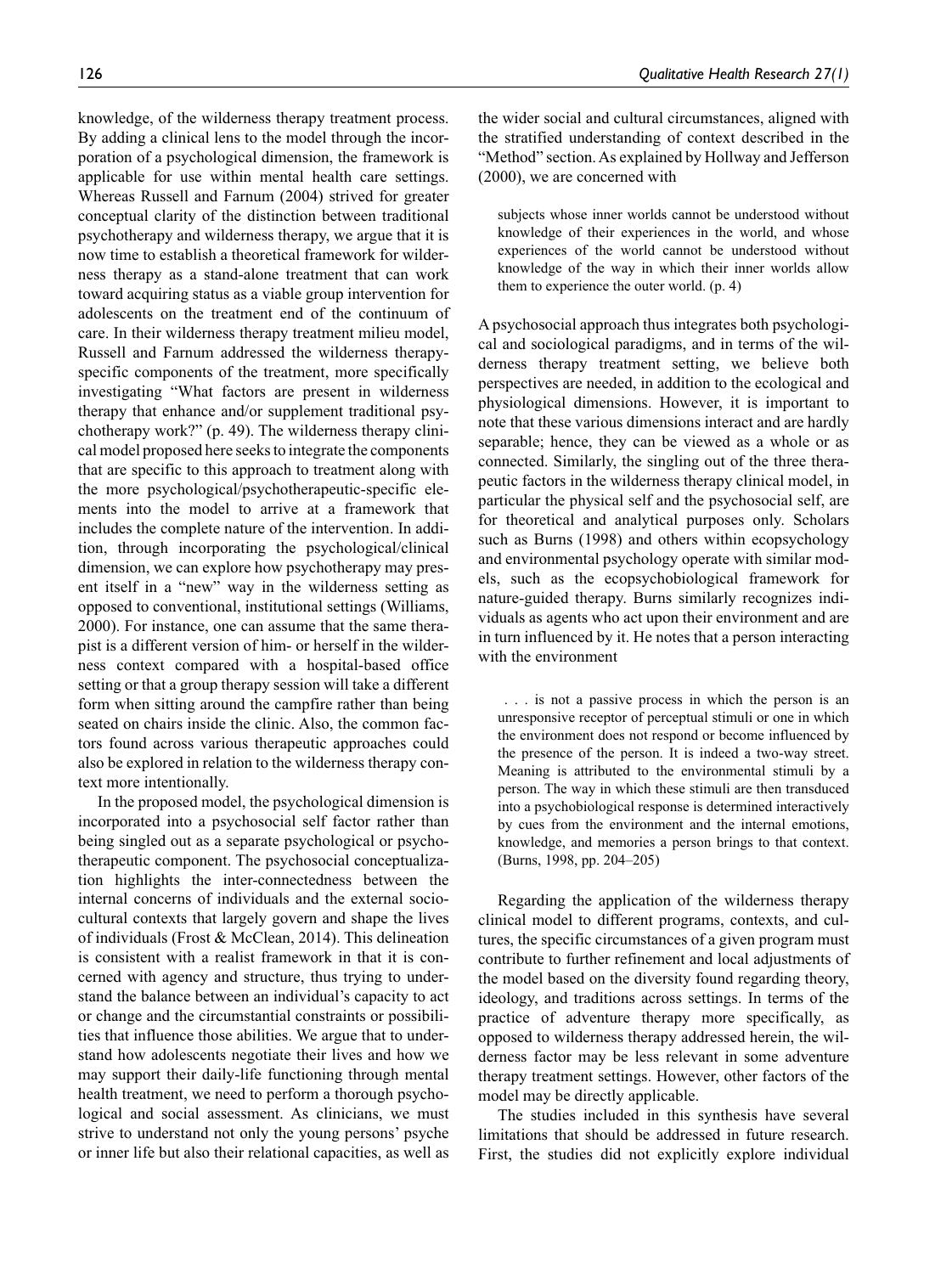knowledge, of the wilderness therapy treatment process. By adding a clinical lens to the model through the incorporation of a psychological dimension, the framework is applicable for use within mental health care settings. Whereas Russell and Farnum (2004) strived for greater conceptual clarity of the distinction between traditional psychotherapy and wilderness therapy, we argue that it is now time to establish a theoretical framework for wilderness therapy as a stand-alone treatment that can work toward acquiring status as a viable group intervention for adolescents on the treatment end of the continuum of care. In their wilderness therapy treatment milieu model, Russell and Farnum addressed the wilderness therapyspecific components of the treatment, more specifically investigating "What factors are present in wilderness therapy that enhance and/or supplement traditional psychotherapy work?" (p. 49). The wilderness therapy clinical model proposed here seeks to integrate the components that are specific to this approach to treatment along with the more psychological/psychotherapeutic-specific elements into the model to arrive at a framework that includes the complete nature of the intervention. In addition, through incorporating the psychological/clinical dimension, we can explore how psychotherapy may present itself in a "new" way in the wilderness setting as opposed to conventional, institutional settings (Williams, 2000). For instance, one can assume that the same therapist is a different version of him- or herself in the wilderness context compared with a hospital-based office setting or that a group therapy session will take a different form when sitting around the campfire rather than being seated on chairs inside the clinic. Also, the common factors found across various therapeutic approaches could also be explored in relation to the wilderness therapy context more intentionally.

In the proposed model, the psychological dimension is incorporated into a psychosocial self factor rather than being singled out as a separate psychological or psychotherapeutic component. The psychosocial conceptualization highlights the inter-connectedness between the internal concerns of individuals and the external sociocultural contexts that largely govern and shape the lives of individuals (Frost & McClean, 2014). This delineation is consistent with a realist framework in that it is concerned with agency and structure, thus trying to understand the balance between an individual's capacity to act or change and the circumstantial constraints or possibilities that influence those abilities. We argue that to understand how adolescents negotiate their lives and how we may support their daily-life functioning through mental health treatment, we need to perform a thorough psychological and social assessment. As clinicians, we must strive to understand not only the young persons' psyche or inner life but also their relational capacities, as well as

the wider social and cultural circumstances, aligned with the stratified understanding of context described in the "Method" section. As explained by Hollway and Jefferson (2000), we are concerned with

subjects whose inner worlds cannot be understood without knowledge of their experiences in the world, and whose experiences of the world cannot be understood without knowledge of the way in which their inner worlds allow them to experience the outer world. (p. 4)

A psychosocial approach thus integrates both psychological and sociological paradigms, and in terms of the wilderness therapy treatment setting, we believe both perspectives are needed, in addition to the ecological and physiological dimensions. However, it is important to note that these various dimensions interact and are hardly separable; hence, they can be viewed as a whole or as connected. Similarly, the singling out of the three therapeutic factors in the wilderness therapy clinical model, in particular the physical self and the psychosocial self, are for theoretical and analytical purposes only. Scholars such as Burns (1998) and others within ecopsychology and environmental psychology operate with similar models, such as the ecopsychobiological framework for nature-guided therapy. Burns similarly recognizes individuals as agents who act upon their environment and are in turn influenced by it. He notes that a person interacting with the environment

 . . . is not a passive process in which the person is an unresponsive receptor of perceptual stimuli or one in which the environment does not respond or become influenced by the presence of the person. It is indeed a two-way street. Meaning is attributed to the environmental stimuli by a person. The way in which these stimuli are then transduced into a psychobiological response is determined interactively by cues from the environment and the internal emotions, knowledge, and memories a person brings to that context. (Burns, 1998, pp. 204–205)

Regarding the application of the wilderness therapy clinical model to different programs, contexts, and cultures, the specific circumstances of a given program must contribute to further refinement and local adjustments of the model based on the diversity found regarding theory, ideology, and traditions across settings. In terms of the practice of adventure therapy more specifically, as opposed to wilderness therapy addressed herein, the wilderness factor may be less relevant in some adventure therapy treatment settings. However, other factors of the model may be directly applicable.

The studies included in this synthesis have several limitations that should be addressed in future research. First, the studies did not explicitly explore individual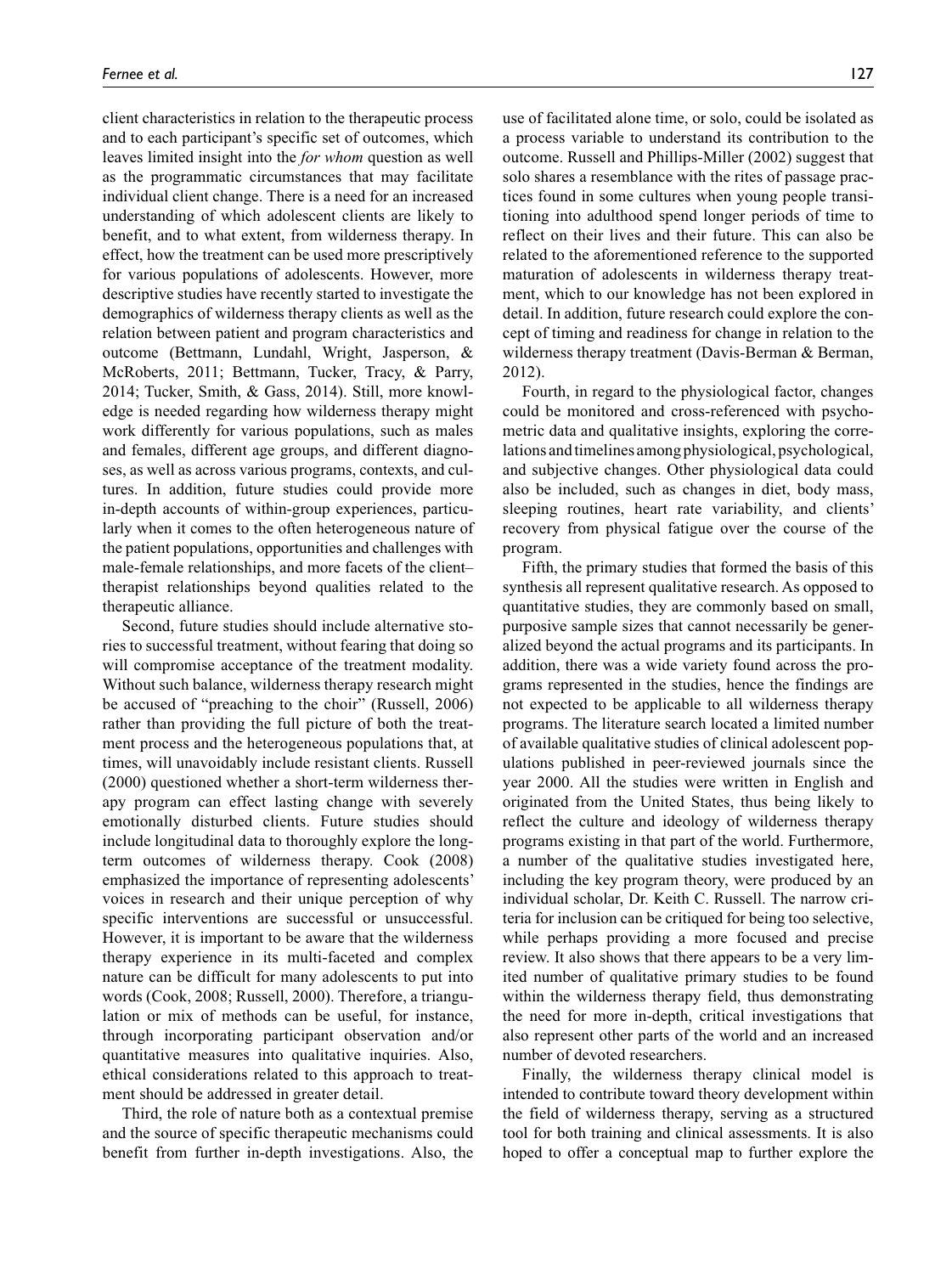client characteristics in relation to the therapeutic process and to each participant's specific set of outcomes, which leaves limited insight into the *for whom* question as well as the programmatic circumstances that may facilitate individual client change. There is a need for an increased understanding of which adolescent clients are likely to benefit, and to what extent, from wilderness therapy. In effect, how the treatment can be used more prescriptively for various populations of adolescents. However, more descriptive studies have recently started to investigate the demographics of wilderness therapy clients as well as the relation between patient and program characteristics and outcome (Bettmann, Lundahl, Wright, Jasperson, & McRoberts, 2011; Bettmann, Tucker, Tracy, & Parry, 2014; Tucker, Smith, & Gass, 2014). Still, more knowledge is needed regarding how wilderness therapy might work differently for various populations, such as males and females, different age groups, and different diagnoses, as well as across various programs, contexts, and cultures. In addition, future studies could provide more in-depth accounts of within-group experiences, particularly when it comes to the often heterogeneous nature of the patient populations, opportunities and challenges with male-female relationships, and more facets of the client– therapist relationships beyond qualities related to the therapeutic alliance.

Second, future studies should include alternative stories to successful treatment, without fearing that doing so will compromise acceptance of the treatment modality. Without such balance, wilderness therapy research might be accused of "preaching to the choir" (Russell, 2006) rather than providing the full picture of both the treatment process and the heterogeneous populations that, at times, will unavoidably include resistant clients. Russell (2000) questioned whether a short-term wilderness therapy program can effect lasting change with severely emotionally disturbed clients. Future studies should include longitudinal data to thoroughly explore the longterm outcomes of wilderness therapy. Cook (2008) emphasized the importance of representing adolescents' voices in research and their unique perception of why specific interventions are successful or unsuccessful. However, it is important to be aware that the wilderness therapy experience in its multi-faceted and complex nature can be difficult for many adolescents to put into words (Cook, 2008; Russell, 2000). Therefore, a triangulation or mix of methods can be useful, for instance, through incorporating participant observation and/or quantitative measures into qualitative inquiries. Also, ethical considerations related to this approach to treatment should be addressed in greater detail.

Third, the role of nature both as a contextual premise and the source of specific therapeutic mechanisms could benefit from further in-depth investigations. Also, the

use of facilitated alone time, or solo, could be isolated as a process variable to understand its contribution to the outcome. Russell and Phillips-Miller (2002) suggest that solo shares a resemblance with the rites of passage practices found in some cultures when young people transitioning into adulthood spend longer periods of time to reflect on their lives and their future. This can also be related to the aforementioned reference to the supported maturation of adolescents in wilderness therapy treatment, which to our knowledge has not been explored in detail. In addition, future research could explore the concept of timing and readiness for change in relation to the wilderness therapy treatment (Davis-Berman & Berman, 2012).

Fourth, in regard to the physiological factor, changes could be monitored and cross-referenced with psychometric data and qualitative insights, exploring the correlations and timelines among physiological, psychological, and subjective changes. Other physiological data could also be included, such as changes in diet, body mass, sleeping routines, heart rate variability, and clients' recovery from physical fatigue over the course of the program.

Fifth, the primary studies that formed the basis of this synthesis all represent qualitative research. As opposed to quantitative studies, they are commonly based on small, purposive sample sizes that cannot necessarily be generalized beyond the actual programs and its participants. In addition, there was a wide variety found across the programs represented in the studies, hence the findings are not expected to be applicable to all wilderness therapy programs. The literature search located a limited number of available qualitative studies of clinical adolescent populations published in peer-reviewed journals since the year 2000. All the studies were written in English and originated from the United States, thus being likely to reflect the culture and ideology of wilderness therapy programs existing in that part of the world. Furthermore, a number of the qualitative studies investigated here, including the key program theory, were produced by an individual scholar, Dr. Keith C. Russell. The narrow criteria for inclusion can be critiqued for being too selective, while perhaps providing a more focused and precise review. It also shows that there appears to be a very limited number of qualitative primary studies to be found within the wilderness therapy field, thus demonstrating the need for more in-depth, critical investigations that also represent other parts of the world and an increased number of devoted researchers.

Finally, the wilderness therapy clinical model is intended to contribute toward theory development within the field of wilderness therapy, serving as a structured tool for both training and clinical assessments. It is also hoped to offer a conceptual map to further explore the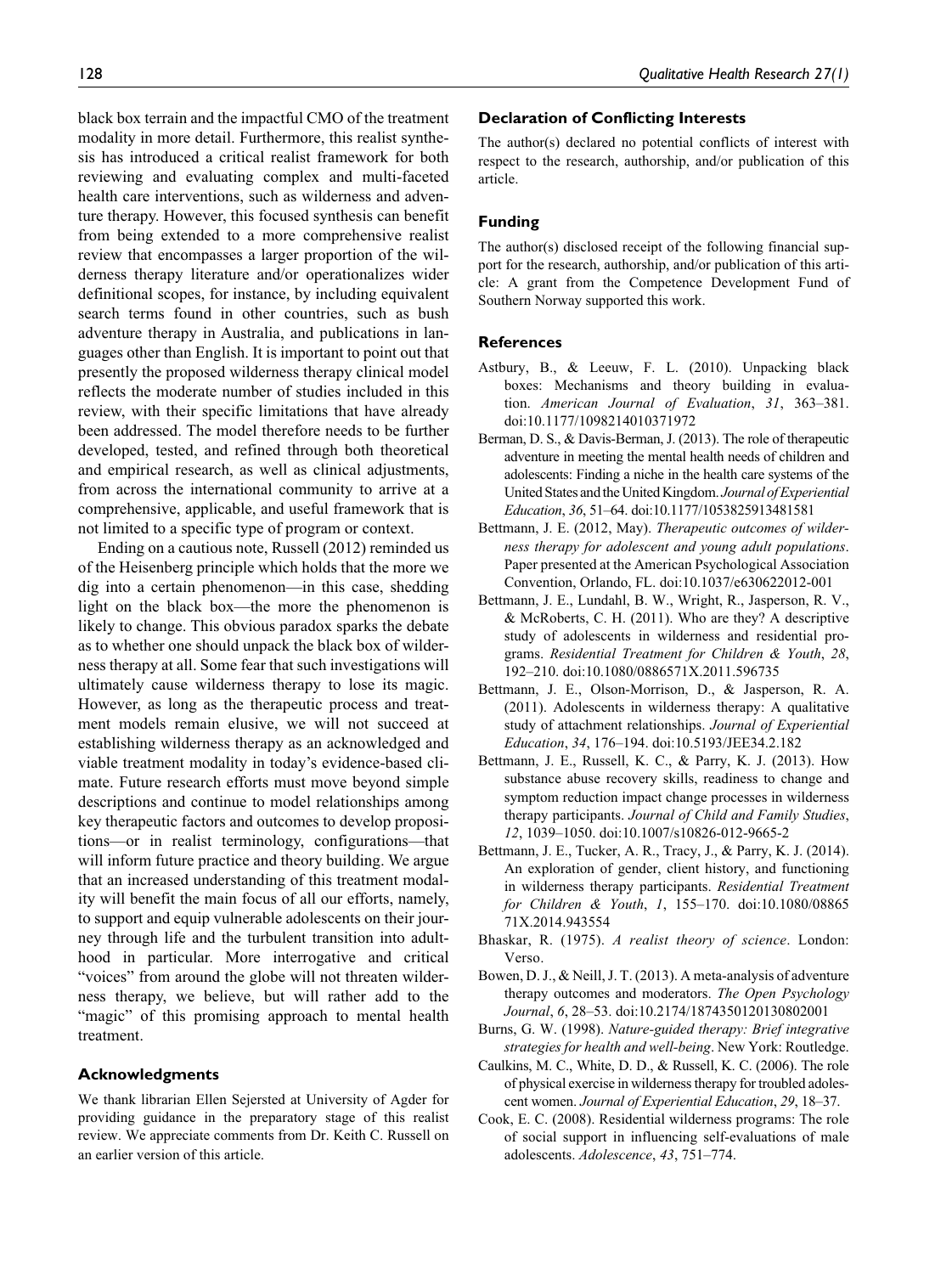black box terrain and the impactful CMO of the treatment modality in more detail. Furthermore, this realist synthesis has introduced a critical realist framework for both reviewing and evaluating complex and multi-faceted health care interventions, such as wilderness and adventure therapy. However, this focused synthesis can benefit from being extended to a more comprehensive realist review that encompasses a larger proportion of the wilderness therapy literature and/or operationalizes wider definitional scopes, for instance, by including equivalent search terms found in other countries, such as bush adventure therapy in Australia, and publications in languages other than English. It is important to point out that presently the proposed wilderness therapy clinical model reflects the moderate number of studies included in this review, with their specific limitations that have already been addressed. The model therefore needs to be further developed, tested, and refined through both theoretical and empirical research, as well as clinical adjustments, from across the international community to arrive at a comprehensive, applicable, and useful framework that is not limited to a specific type of program or context.

Ending on a cautious note, Russell (2012) reminded us of the Heisenberg principle which holds that the more we dig into a certain phenomenon—in this case, shedding light on the black box—the more the phenomenon is likely to change. This obvious paradox sparks the debate as to whether one should unpack the black box of wilderness therapy at all. Some fear that such investigations will ultimately cause wilderness therapy to lose its magic. However, as long as the therapeutic process and treatment models remain elusive, we will not succeed at establishing wilderness therapy as an acknowledged and viable treatment modality in today's evidence-based climate. Future research efforts must move beyond simple descriptions and continue to model relationships among key therapeutic factors and outcomes to develop propositions—or in realist terminology, configurations—that will inform future practice and theory building. We argue that an increased understanding of this treatment modality will benefit the main focus of all our efforts, namely, to support and equip vulnerable adolescents on their journey through life and the turbulent transition into adulthood in particular. More interrogative and critical "voices" from around the globe will not threaten wilderness therapy, we believe, but will rather add to the "magic" of this promising approach to mental health treatment.

#### **Acknowledgments**

We thank librarian Ellen Sejersted at University of Agder for providing guidance in the preparatory stage of this realist review. We appreciate comments from Dr. Keith C. Russell on an earlier version of this article.

#### **Declaration of Conflicting Interests**

The author(s) declared no potential conflicts of interest with respect to the research, authorship, and/or publication of this article.

#### **Funding**

The author(s) disclosed receipt of the following financial support for the research, authorship, and/or publication of this article: A grant from the Competence Development Fund of Southern Norway supported this work.

#### **References**

- Astbury, B., & Leeuw, F. L. (2010). Unpacking black boxes: Mechanisms and theory building in evaluation. *American Journal of Evaluation*, *31*, 363–381. doi:10.1177/1098214010371972
- Berman, D. S., & Davis-Berman, J. (2013). The role of therapeutic adventure in meeting the mental health needs of children and adolescents: Finding a niche in the health care systems of the United States and the United Kingdom. *Journal of Experiential Education*, *36*, 51–64. doi:10.1177/1053825913481581
- Bettmann, J. E. (2012, May). *Therapeutic outcomes of wilderness therapy for adolescent and young adult populations*. Paper presented at the American Psychological Association Convention, Orlando, FL. doi:10.1037/e630622012-001
- Bettmann, J. E., Lundahl, B. W., Wright, R., Jasperson, R. V., & McRoberts, C. H. (2011). Who are they? A descriptive study of adolescents in wilderness and residential programs. *Residential Treatment for Children & Youth*, *28*, 192–210. doi:10.1080/0886571X.2011.596735
- Bettmann, J. E., Olson-Morrison, D., & Jasperson, R. A. (2011). Adolescents in wilderness therapy: A qualitative study of attachment relationships. *Journal of Experiential Education*, *34*, 176–194. doi:10.5193/JEE34.2.182
- Bettmann, J. E., Russell, K. C., & Parry, K. J. (2013). How substance abuse recovery skills, readiness to change and symptom reduction impact change processes in wilderness therapy participants. *Journal of Child and Family Studies*, *12*, 1039–1050. doi:10.1007/s10826-012-9665-2
- Bettmann, J. E., Tucker, A. R., Tracy, J., & Parry, K. J. (2014). An exploration of gender, client history, and functioning in wilderness therapy participants. *Residential Treatment for Children & Youth*, *1*, 155–170. doi:10.1080/08865 71X.2014.943554
- Bhaskar, R. (1975). *A realist theory of science*. London: Verso.
- Bowen, D. J., & Neill, J. T. (2013). A meta-analysis of adventure therapy outcomes and moderators. *The Open Psychology Journal*, *6*, 28–53. doi:10.2174/1874350120130802001
- Burns, G. W. (1998). *Nature-guided therapy: Brief integrative strategies for health and well-being*. New York: Routledge.
- Caulkins, M. C., White, D. D., & Russell, K. C. (2006). The role of physical exercise in wilderness therapy for troubled adolescent women. *Journal of Experiential Education*, *29*, 18–37.
- Cook, E. C. (2008). Residential wilderness programs: The role of social support in influencing self-evaluations of male adolescents. *Adolescence*, *43*, 751–774.